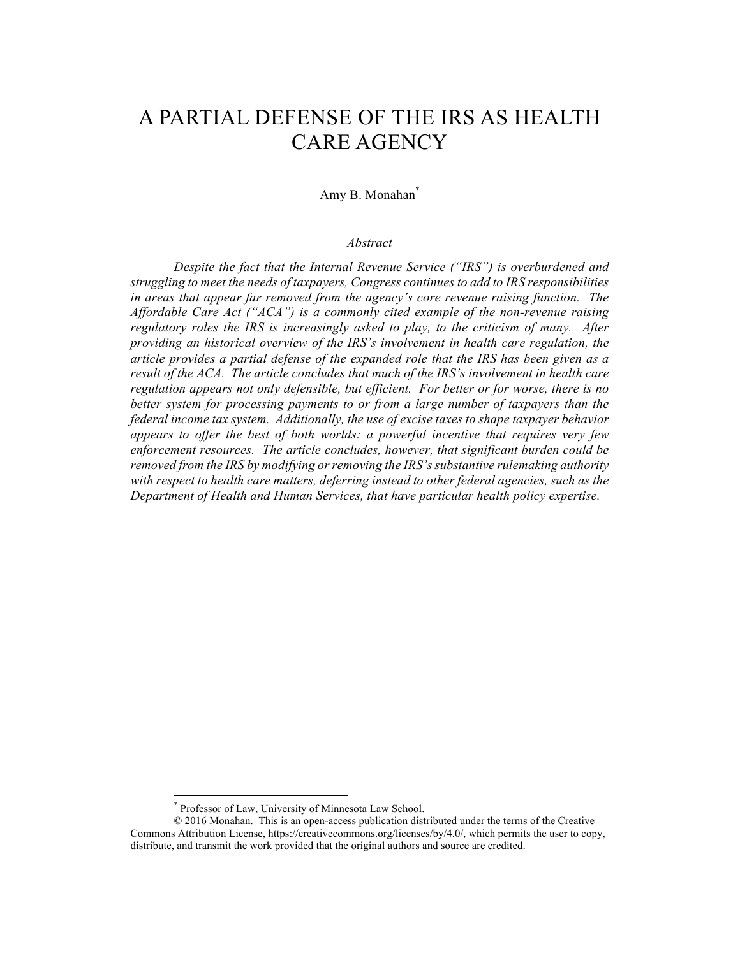# A PARTIAL DEFENSE OF THE IRS AS HEALTH CARE AGENCY

# Amy B. Monahan\*

#### *Abstract*

*Despite the fact that the Internal Revenue Service ("IRS") is overburdened and struggling to meet the needs of taxpayers, Congress continues to add to IRS responsibilities in areas that appear far removed from the agency's core revenue raising function. The Affordable Care Act ("ACA") is a commonly cited example of the non-revenue raising regulatory roles the IRS is increasingly asked to play, to the criticism of many. After providing an historical overview of the IRS's involvement in health care regulation, the article provides a partial defense of the expanded role that the IRS has been given as a result of the ACA. The article concludes that much of the IRS's involvement in health care regulation appears not only defensible, but efficient. For better or for worse, there is no better system for processing payments to or from a large number of taxpayers than the federal income tax system. Additionally, the use of excise taxes to shape taxpayer behavior appears to offer the best of both worlds: a powerful incentive that requires very few enforcement resources. The article concludes, however, that significant burden could be removed from the IRS by modifying or removing the IRS's substantive rulemaking authority with respect to health care matters, deferring instead to other federal agencies, such as the Department of Health and Human Services, that have particular health policy expertise.*

 <sup>\*</sup> Professor of Law, University of Minnesota Law School.

<sup>© 2016</sup> Monahan. This is an open-access publication distributed under the terms of the Creative Commons Attribution License, https://creativecommons.org/licenses/by/4.0/, which permits the user to copy, distribute, and transmit the work provided that the original authors and source are credited.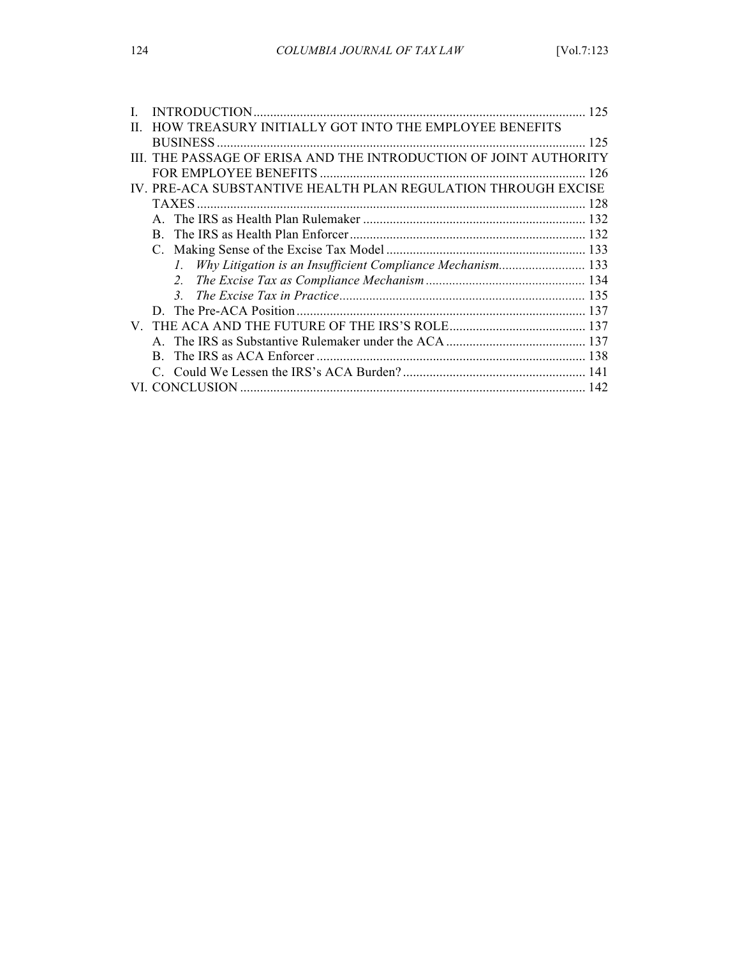|       |                                                                   | 125 |
|-------|-------------------------------------------------------------------|-----|
| $\Pi$ | HOW TREASURY INITIALLY GOT INTO THE EMPLOYEE BENEFITS             |     |
|       |                                                                   | 125 |
|       | III. THE PASSAGE OF ERISA AND THE INTRODUCTION OF JOINT AUTHORITY |     |
|       |                                                                   |     |
|       | IV. PRE-ACA SUBSTANTIVE HEALTH PLAN REGULATION THROUGH EXCISE     |     |
|       |                                                                   |     |
|       |                                                                   |     |
|       |                                                                   |     |
|       |                                                                   |     |
|       | 1. Why Litigation is an Insufficient Compliance Mechanism 133     |     |
|       |                                                                   |     |
|       |                                                                   |     |
|       |                                                                   |     |
|       |                                                                   |     |
|       |                                                                   |     |
|       | B.                                                                |     |
|       |                                                                   |     |
|       |                                                                   |     |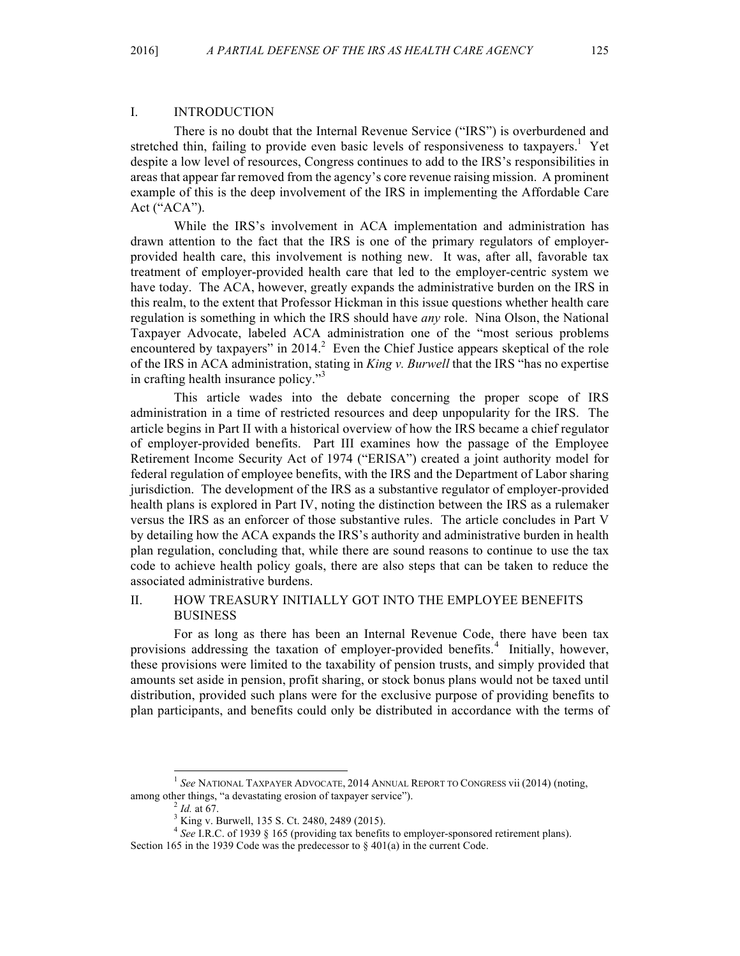## I. INTRODUCTION

There is no doubt that the Internal Revenue Service ("IRS") is overburdened and stretched thin, failing to provide even basic levels of responsiveness to taxpayers.<sup>1</sup> Yet despite a low level of resources, Congress continues to add to the IRS's responsibilities in areas that appear far removed from the agency's core revenue raising mission. A prominent example of this is the deep involvement of the IRS in implementing the Affordable Care Act ("ACA").

While the IRS's involvement in ACA implementation and administration has drawn attention to the fact that the IRS is one of the primary regulators of employerprovided health care, this involvement is nothing new. It was, after all, favorable tax treatment of employer-provided health care that led to the employer-centric system we have today. The ACA, however, greatly expands the administrative burden on the IRS in this realm, to the extent that Professor Hickman in this issue questions whether health care regulation is something in which the IRS should have *any* role. Nina Olson, the National Taxpayer Advocate, labeled ACA administration one of the "most serious problems encountered by taxpayers" in 2014.<sup>2</sup> Even the Chief Justice appears skeptical of the role of the IRS in ACA administration, stating in *King v. Burwell* that the IRS "has no expertise in crafting health insurance policy."<sup>3</sup>

This article wades into the debate concerning the proper scope of IRS administration in a time of restricted resources and deep unpopularity for the IRS. The article begins in Part II with a historical overview of how the IRS became a chief regulator of employer-provided benefits. Part III examines how the passage of the Employee Retirement Income Security Act of 1974 ("ERISA") created a joint authority model for federal regulation of employee benefits, with the IRS and the Department of Labor sharing jurisdiction. The development of the IRS as a substantive regulator of employer-provided health plans is explored in Part IV, noting the distinction between the IRS as a rulemaker versus the IRS as an enforcer of those substantive rules. The article concludes in Part V by detailing how the ACA expands the IRS's authority and administrative burden in health plan regulation, concluding that, while there are sound reasons to continue to use the tax code to achieve health policy goals, there are also steps that can be taken to reduce the associated administrative burdens.

## II. HOW TREASURY INITIALLY GOT INTO THE EMPLOYEE BENEFITS BUSINESS

For as long as there has been an Internal Revenue Code, there have been tax provisions addressing the taxation of employer-provided benefits.<sup>4</sup> Initially, however, these provisions were limited to the taxability of pension trusts, and simply provided that amounts set aside in pension, profit sharing, or stock bonus plans would not be taxed until distribution, provided such plans were for the exclusive purpose of providing benefits to plan participants, and benefits could only be distributed in accordance with the terms of

<sup>&</sup>lt;sup>1</sup> See NATIONAL TAXPAYER ADVOCATE, 2014 ANNUAL REPORT TO CONGRESS vii (2014) (noting, among other things, "a devastating erosion of taxpayer service").<br>  $\frac{2 \text{ Id. at 67}}{14 \text{ kg v}}$ . Burwell, 135 S. Ct. 2480, 2489 (2015).<br>  $\frac{3 \text{ King v. Burwell, 135 S. Ct. 2480, 2489 (2015)}}{4 \text{ See I.R.C. of 1939 § 165 (providing tax benefits to employer-sponsored retirement plans)}}$ .

Section 165 in the 1939 Code was the predecessor to  $\S$  401(a) in the current Code.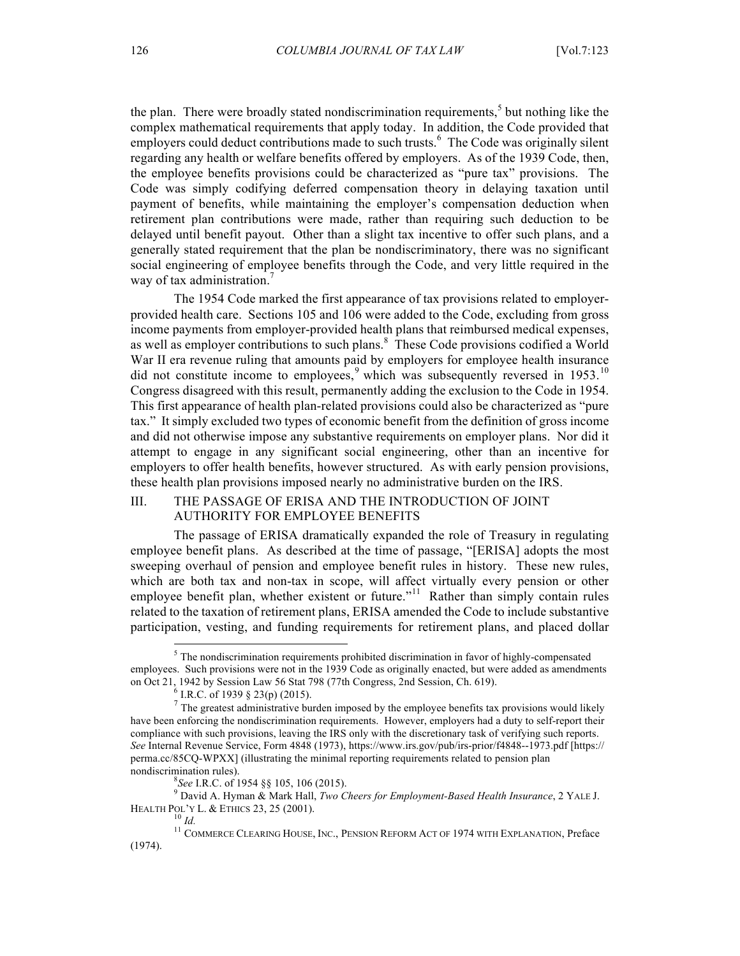the plan. There were broadly stated nondiscrimination requirements, $<sup>5</sup>$  but nothing like the</sup> complex mathematical requirements that apply today. In addition, the Code provided that employers could deduct contributions made to such trusts.<sup>6</sup> The Code was originally silent regarding any health or welfare benefits offered by employers. As of the 1939 Code, then, the employee benefits provisions could be characterized as "pure tax" provisions. The Code was simply codifying deferred compensation theory in delaying taxation until payment of benefits, while maintaining the employer's compensation deduction when retirement plan contributions were made, rather than requiring such deduction to be delayed until benefit payout. Other than a slight tax incentive to offer such plans, and a generally stated requirement that the plan be nondiscriminatory, there was no significant social engineering of employee benefits through the Code, and very little required in the way of tax administration.<sup>7</sup>

The 1954 Code marked the first appearance of tax provisions related to employerprovided health care. Sections 105 and 106 were added to the Code, excluding from gross income payments from employer-provided health plans that reimbursed medical expenses, as well as employer contributions to such plans.<sup>8</sup> These Code provisions codified a World War II era revenue ruling that amounts paid by employers for employee health insurance did not constitute income to employees, which was subsequently reversed in 1953.<sup>10</sup> Congress disagreed with this result, permanently adding the exclusion to the Code in 1954. This first appearance of health plan-related provisions could also be characterized as "pure tax." It simply excluded two types of economic benefit from the definition of gross income and did not otherwise impose any substantive requirements on employer plans. Nor did it attempt to engage in any significant social engineering, other than an incentive for employers to offer health benefits, however structured. As with early pension provisions, these health plan provisions imposed nearly no administrative burden on the IRS.

## III. THE PASSAGE OF ERISA AND THE INTRODUCTION OF JOINT AUTHORITY FOR EMPLOYEE BENEFITS

The passage of ERISA dramatically expanded the role of Treasury in regulating employee benefit plans. As described at the time of passage, "[ERISA] adopts the most sweeping overhaul of pension and employee benefit rules in history. These new rules, which are both tax and non-tax in scope, will affect virtually every pension or other employee benefit plan, whether existent or future."<sup>11</sup> Rather than simply contain rules related to the taxation of retirement plans, ERISA amended the Code to include substantive participation, vesting, and funding requirements for retirement plans, and placed dollar

 $<sup>5</sup>$  The nondiscrimination requirements prohibited discrimination in favor of highly-compensated</sup> employees. Such provisions were not in the 1939 Code as originally enacted, but were added as amendments on Oct 21, 1942 by Session Law 56 Stat 798 (77th Congress, 2nd Session, Ch. 619).<br><sup>6</sup> I.R.C. of 1939 § 23(p) (2015).<br><sup>7</sup> The greatest administrative burden imposed by the employee benefits tax provisions would likely

have been enforcing the nondiscrimination requirements. However, employers had a duty to self-report their compliance with such provisions, leaving the IRS only with the discretionary task of verifying such reports. *See* Internal Revenue Service, Form 4848 (1973), https://www.irs.gov/pub/irs-prior/f4848--1973.pdf [https:// perma.cc/85CQ-WPXX] (illustrating the minimal reporting requirements related to pension plan nondiscrimination rules).<br><sup>8</sup>*See* I.R.C. of 1954 §§ 105, 106 (2015).

*See* I.R.C. of 1954 §§ 105, 106 (2015). <sup>9</sup> David A. Hyman & Mark Hall, *Two Cheers for Employment-Based Health Insurance*, 2 YALE J. HEALTH POL'Y L. & ETHICS 23, 25 (2001).<br><sup>10</sup> *Id.* <sup>11</sup> COMMERCE CLEARING HOUSE, INC., PENSION REFORM ACT OF 1974 WITH EXPLANATION, Preface

<sup>(1974).</sup>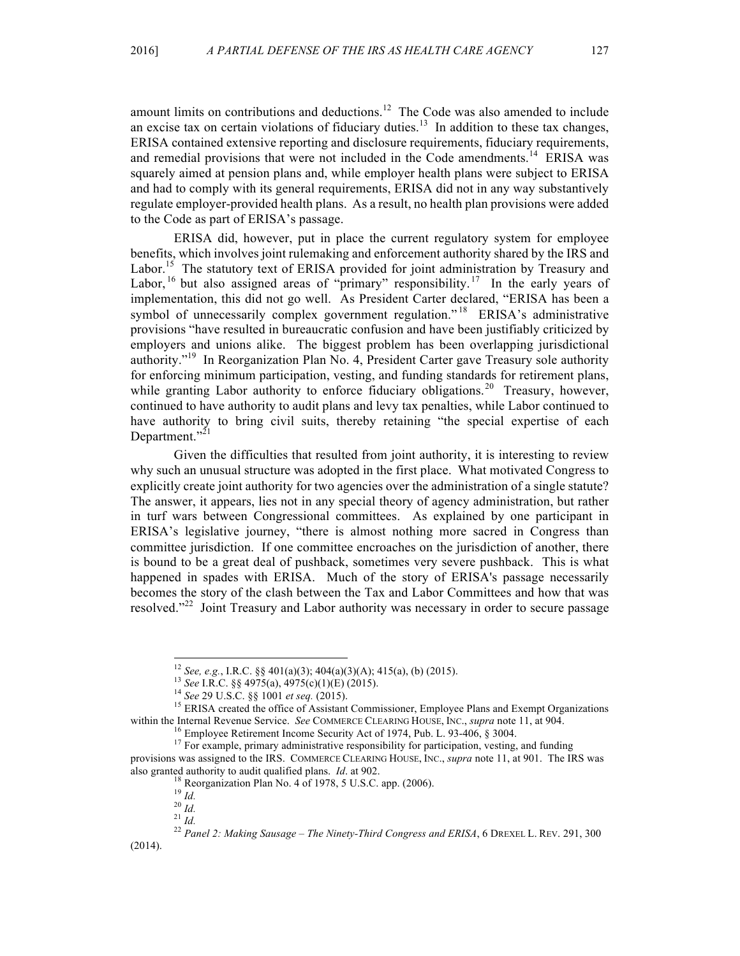amount limits on contributions and deductions.<sup>12</sup> The Code was also amended to include an excise tax on certain violations of fiduciary duties.<sup>13</sup> In addition to these tax changes, ERISA contained extensive reporting and disclosure requirements, fiduciary requirements, and remedial provisions that were not included in the Code amendments.<sup>14</sup> ERISA was squarely aimed at pension plans and, while employer health plans were subject to ERISA and had to comply with its general requirements, ERISA did not in any way substantively regulate employer-provided health plans. As a result, no health plan provisions were added to the Code as part of ERISA's passage.

ERISA did, however, put in place the current regulatory system for employee benefits, which involves joint rulemaking and enforcement authority shared by the IRS and Labor.<sup>15</sup> The statutory text of ERISA provided for joint administration by Treasury and Labor, <sup>16</sup> but also assigned areas of "primary" responsibility.<sup>17</sup> In the early years of implementation, this did not go well. As President Carter declared, "ERISA has been a symbol of unnecessarily complex government regulation."<sup>18</sup> ERISA's administrative provisions "have resulted in bureaucratic confusion and have been justifiably criticized by employers and unions alike. The biggest problem has been overlapping jurisdictional authority."<sup>19</sup> In Reorganization Plan No. 4, President Carter gave Treasury sole authority for enforcing minimum participation, vesting, and funding standards for retirement plans, while granting Labor authority to enforce fiduciary obligations.<sup>20</sup> Treasury, however, continued to have authority to audit plans and levy tax penalties, while Labor continued to have authority to bring civil suits, thereby retaining "the special expertise of each Department."<sup>21</sup>

Given the difficulties that resulted from joint authority, it is interesting to review why such an unusual structure was adopted in the first place. What motivated Congress to explicitly create joint authority for two agencies over the administration of a single statute? The answer, it appears, lies not in any special theory of agency administration, but rather in turf wars between Congressional committees. As explained by one participant in ERISA's legislative journey, "there is almost nothing more sacred in Congress than committee jurisdiction. If one committee encroaches on the jurisdiction of another, there is bound to be a great deal of pushback, sometimes very severe pushback. This is what happened in spades with ERISA. Much of the story of ERISA's passage necessarily becomes the story of the clash between the Tax and Labor Committees and how that was resolved."<sup>22</sup> Joint Treasury and Labor authority was necessary in order to secure passage

<sup>&</sup>lt;sup>12</sup> See, e.g., I.R.C. §§ 401(a)(3); 404(a)(3)(A); 415(a), (b) (2015).<br><sup>13</sup> See I.R.C. §§ 4975(a), 4975(c)(1)(E) (2015).<br><sup>14</sup> See 29 U.S.C. §§ 1001 et seq. (2015).<br><sup>15</sup> ERISA created the office of Assistant Commissioner, within the Internal Revenue Service. *See* COMMERCE CLEARING HOUSE, INC., *supra* note 11, at 904.<br><sup>16</sup> Employee Retirement Income Security Act of 1974, Pub. L. 93-406, § 3004.<br><sup>17</sup> For example, primary administrative resp

provisions was assigned to the IRS. COMMERCE CLEARING HOUSE, INC., *supra* note 11, at 901. The IRS was also granted authority to audit qualified plans. *Id.* at 902.<br><sup>18</sup> Reorganization Plan No. 4 of 1978, 5 U.S.C. app. (2006).<br><sup>19</sup> *Id.*<br><sup>20</sup> *Id.*<br><sup>21</sup> *Id.*<br><sup>22</sup> Panel 2: Making Sausage – The Ninety-Third Congress and ER

<sup>(2014).</sup>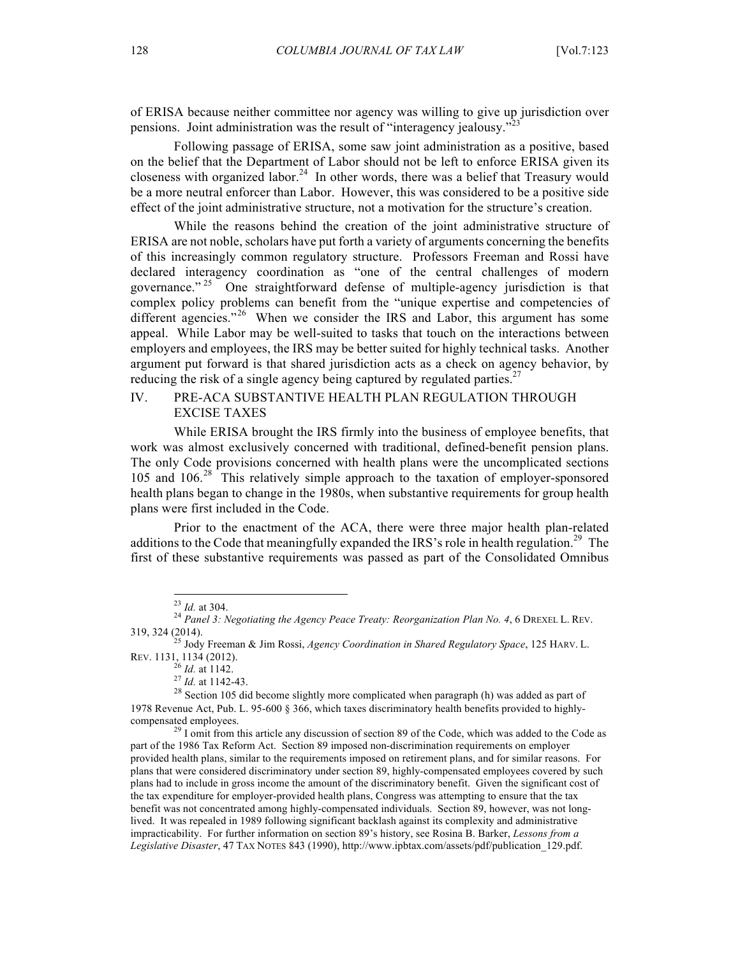of ERISA because neither committee nor agency was willing to give up jurisdiction over pensions. Joint administration was the result of "interagency jealousy."

Following passage of ERISA, some saw joint administration as a positive, based on the belief that the Department of Labor should not be left to enforce ERISA given its closeness with organized labor.<sup>24</sup> In other words, there was a belief that Treasury would be a more neutral enforcer than Labor. However, this was considered to be a positive side effect of the joint administrative structure, not a motivation for the structure's creation.

While the reasons behind the creation of the joint administrative structure of ERISA are not noble, scholars have put forth a variety of arguments concerning the benefits of this increasingly common regulatory structure. Professors Freeman and Rossi have declared interagency coordination as "one of the central challenges of modern governance."<sup>25</sup> One straightforward defense of multiple-agency jurisdiction is that complex policy problems can benefit from the "unique expertise and competencies of different agencies."<sup>26</sup> When we consider the IRS and Labor, this argument has some appeal. While Labor may be well-suited to tasks that touch on the interactions between employers and employees, the IRS may be better suited for highly technical tasks. Another argument put forward is that shared jurisdiction acts as a check on agency behavior, by reducing the risk of a single agency being captured by regulated parties.<sup>27</sup>

# IV. PRE-ACA SUBSTANTIVE HEALTH PLAN REGULATION THROUGH EXCISE TAXES

While ERISA brought the IRS firmly into the business of employee benefits, that work was almost exclusively concerned with traditional, defined-benefit pension plans. The only Code provisions concerned with health plans were the uncomplicated sections 105 and 106.<sup>28</sup> This relatively simple approach to the taxation of employer-sponsored health plans began to change in the 1980s, when substantive requirements for group health plans were first included in the Code.

Prior to the enactment of the ACA, there were three major health plan-related additions to the Code that meaningfully expanded the IRS's role in health regulation.<sup>29</sup> The first of these substantive requirements was passed as part of the Consolidated Omnibus

<sup>&</sup>lt;sup>23</sup> *Id.* at 304.<br><sup>24</sup> *Panel 3: Negotiating the Agency Peace Treaty: Reorganization Plan No. 4, 6 DREXEL L. REV.* 

<sup>319, 324 (2014).</sup> <sup>25</sup> Jody Freeman & Jim Rossi, *Agency Coordination in Shared Regulatory Space*, 125 HARV. L.

*REV.* at 1142.<br><sup>27</sup> *Id.* at 1142-43.<br><sup>28</sup> Section 105 did become slightly more complicated when paragraph (h) was added as part of 1978 Revenue Act, Pub. L. 95-600 § 366, which taxes discriminatory health benefits provided to highlycompensated employees.<br><sup>29</sup> I omit from this article any discussion of section 89 of the Code, which was added to the Code as

part of the 1986 Tax Reform Act. Section 89 imposed non-discrimination requirements on employer provided health plans, similar to the requirements imposed on retirement plans, and for similar reasons. For plans that were considered discriminatory under section 89, highly-compensated employees covered by such plans had to include in gross income the amount of the discriminatory benefit. Given the significant cost of the tax expenditure for employer-provided health plans, Congress was attempting to ensure that the tax benefit was not concentrated among highly-compensated individuals. Section 89, however, was not longlived. It was repealed in 1989 following significant backlash against its complexity and administrative impracticability. For further information on section 89's history, see Rosina B. Barker, *Lessons from a Legislative Disaster*, 47 TAX NOTES 843 (1990), http://www.ipbtax.com/assets/pdf/publication\_129.pdf.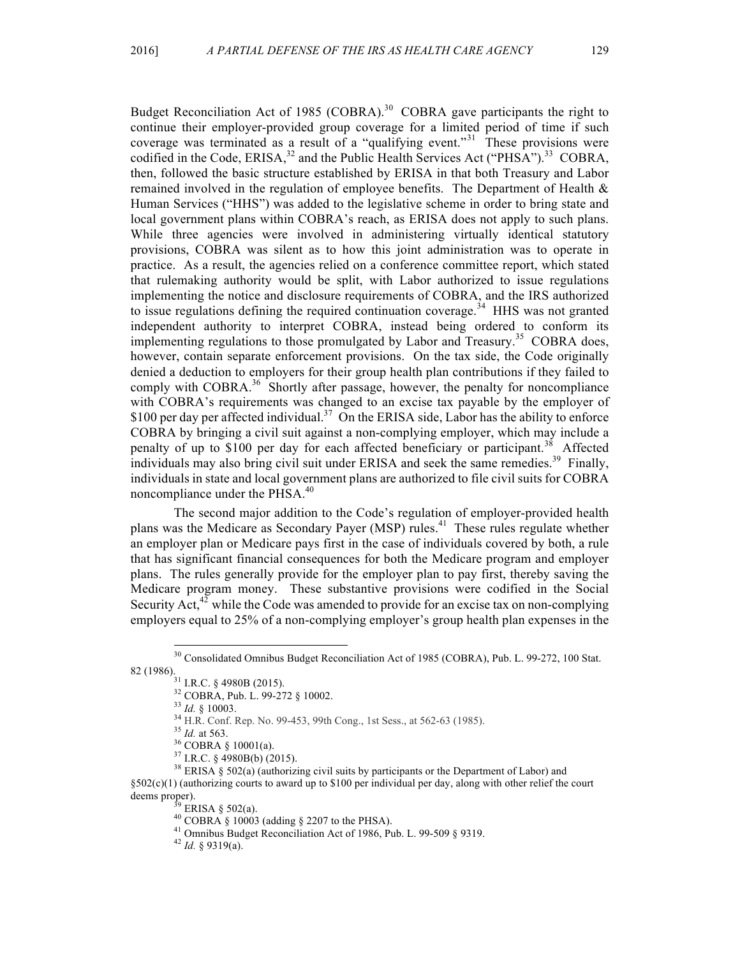Budget Reconciliation Act of 1985 (COBRA).<sup>30</sup> COBRA gave participants the right to continue their employer-provided group coverage for a limited period of time if such coverage was terminated as a result of a "qualifying event."<sup>31</sup> These provisions were codified in the Code, ERISA, $3^2$  and the Public Health Services Act ("PHSA").<sup>33</sup> COBRA, then, followed the basic structure established by ERISA in that both Treasury and Labor remained involved in the regulation of employee benefits. The Department of Health  $\&$ Human Services ("HHS") was added to the legislative scheme in order to bring state and local government plans within COBRA's reach, as ERISA does not apply to such plans. While three agencies were involved in administering virtually identical statutory provisions, COBRA was silent as to how this joint administration was to operate in practice. As a result, the agencies relied on a conference committee report, which stated that rulemaking authority would be split, with Labor authorized to issue regulations implementing the notice and disclosure requirements of COBRA, and the IRS authorized to issue regulations defining the required continuation coverage.<sup>34</sup> HHS was not granted independent authority to interpret COBRA, instead being ordered to conform its implementing regulations to those promulgated by Labor and Treasury.<sup>35</sup> COBRA does, however, contain separate enforcement provisions. On the tax side, the Code originally denied a deduction to employers for their group health plan contributions if they failed to comply with  $COBRA<sup>36</sup>$  Shortly after passage, however, the penalty for noncompliance with COBRA's requirements was changed to an excise tax payable by the employer of \$100 per day per affected individual.<sup>37</sup> On the ERISA side, Labor has the ability to enforce COBRA by bringing a civil suit against a non-complying employer, which may include a penalty of up to \$100 per day for each affected beneficiary or participant.<sup>38</sup> Affected individuals may also bring civil suit under ERISA and seek the same remedies.<sup>39</sup> Finally, individuals in state and local government plans are authorized to file civil suits for COBRA noncompliance under the  $PHSA<sup>40</sup>$ 

The second major addition to the Code's regulation of employer-provided health plans was the Medicare as Secondary Payer (MSP) rules.<sup>41</sup> These rules regulate whether an employer plan or Medicare pays first in the case of individuals covered by both, a rule that has significant financial consequences for both the Medicare program and employer plans. The rules generally provide for the employer plan to pay first, thereby saving the Medicare program money. These substantive provisions were codified in the Social Security Act,<sup>42</sup> while the Code was amended to provide for an excise tax on non-complying employers equal to 25% of a non-complying employer's group health plan expenses in the

 $30$  Consolidated Omnibus Budget Reconciliation Act of 1985 (COBRA), Pub. L. 99-272, 100 Stat.<br>82 (1986).<br>1 I.R.C. § 4980B (2015).

<sup>&</sup>lt;sup>32</sup> COBRA, Pub. L. 99-272 § 10002.<br><sup>33</sup> *Id.* § 10003.<br><sup>34</sup> H.R. Conf. Rep. No. 99-453, 99th Cong., 1st Sess., at 562-63 (1985).<br><sup>35</sup> *Id.* at 563.<br><sup>36</sup> COBRA § 10001(a).<br><sup>37</sup> I.R.C. § 4980B(b) (2015).<br><sup>37</sup> I.R.C. § 4980 §502(c)(1) (authorizing courts to award up to \$100 per individual per day, along with other relief the court deems proper).<br><sup>39</sup> ERISA § 502(a).<br><sup>40</sup> COBRA § 10003 (adding § 2207 to the PHSA).<br><sup>41</sup> Omnibus Budget Reconciliation Act of 1986, Pub. L. 99-509 § 9319.<br><sup>42</sup> *Id.* § 9319(a).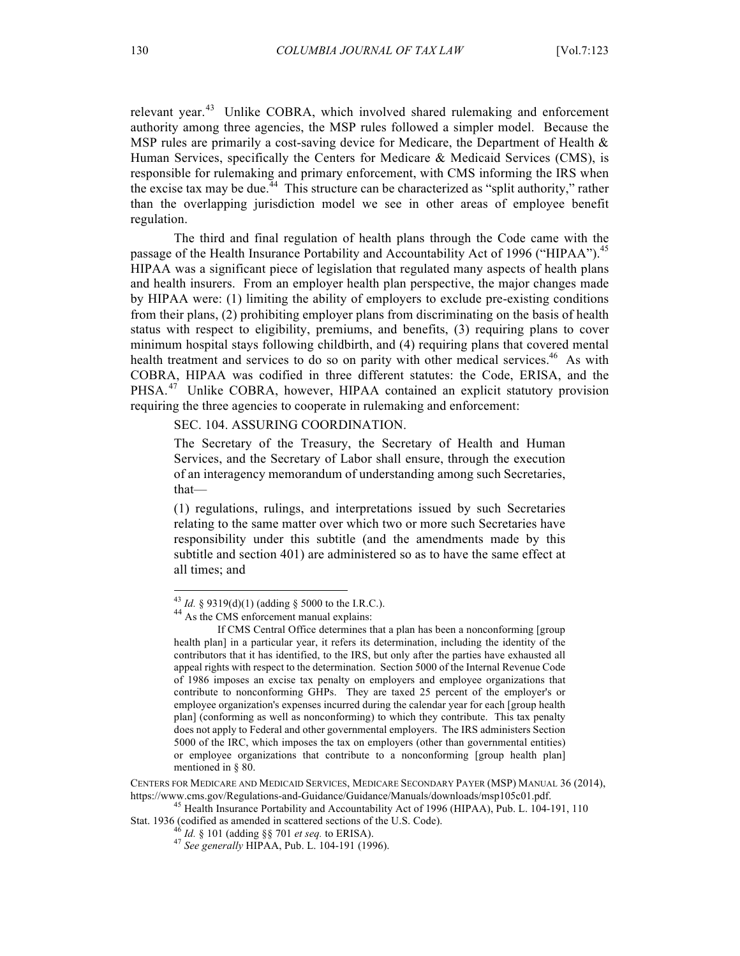relevant year.<sup>43</sup> Unlike COBRA, which involved shared rulemaking and enforcement authority among three agencies, the MSP rules followed a simpler model. Because the MSP rules are primarily a cost-saving device for Medicare, the Department of Health  $\&$ Human Services, specifically the Centers for Medicare & Medicaid Services (CMS), is responsible for rulemaking and primary enforcement, with CMS informing the IRS when the excise tax may be due.<sup> $44$ </sup> This structure can be characterized as "split authority," rather than the overlapping jurisdiction model we see in other areas of employee benefit regulation.

The third and final regulation of health plans through the Code came with the passage of the Health Insurance Portability and Accountability Act of 1996 ("HIPAA").<sup>45</sup> HIPAA was a significant piece of legislation that regulated many aspects of health plans and health insurers. From an employer health plan perspective, the major changes made by HIPAA were: (1) limiting the ability of employers to exclude pre-existing conditions from their plans, (2) prohibiting employer plans from discriminating on the basis of health status with respect to eligibility, premiums, and benefits, (3) requiring plans to cover minimum hospital stays following childbirth, and (4) requiring plans that covered mental health treatment and services to do so on parity with other medical services.<sup>46</sup> As with COBRA, HIPAA was codified in three different statutes: the Code, ERISA, and the PHSA.<sup>47</sup> Unlike COBRA, however, HIPAA contained an explicit statutory provision requiring the three agencies to cooperate in rulemaking and enforcement:

SEC. 104. ASSURING COORDINATION.

The Secretary of the Treasury, the Secretary of Health and Human Services, and the Secretary of Labor shall ensure, through the execution of an interagency memorandum of understanding among such Secretaries, that—

(1) regulations, rulings, and interpretations issued by such Secretaries relating to the same matter over which two or more such Secretaries have responsibility under this subtitle (and the amendments made by this subtitle and section 401) are administered so as to have the same effect at all times; and

<sup>&</sup>lt;sup>43</sup> *Id.* § 9319(d)(1) (adding § 5000 to the I.R.C.). <sup>44</sup> As the CMS enforcement manual explains:

If CMS Central Office determines that a plan has been a nonconforming [group health plan] in a particular year, it refers its determination, including the identity of the contributors that it has identified, to the IRS, but only after the parties have exhausted all appeal rights with respect to the determination. Section 5000 of the Internal Revenue Code of 1986 imposes an excise tax penalty on employers and employee organizations that contribute to nonconforming GHPs. They are taxed 25 percent of the employer's or employee organization's expenses incurred during the calendar year for each [group health plan] (conforming as well as nonconforming) to which they contribute. This tax penalty does not apply to Federal and other governmental employers. The IRS administers Section 5000 of the IRC, which imposes the tax on employers (other than governmental entities) or employee organizations that contribute to a nonconforming [group health plan] mentioned in § 80.

CENTERS FOR MEDICARE AND MEDICAID SERVICES, MEDICARE SECONDARY PAYER (MSP) MANUAL 36 (2014), https://www.cms.gov/Regulations-and-Guidance/Guidance/Manuals/downloads/msp105c01.pdf. <sup>45</sup> Health Insurance Portability and Accountability Act of 1996 (HIPAA), Pub. L. 104-191, 110

Stat. 1936 (codified as amended in scattered sections of the U.S. Code).<br><sup>46</sup> Id. § 101 (adding §§ 701 *et seq.* to ERISA).

<sup>46</sup> *Id.* § 101 (adding §§ <sup>701</sup>*et seq.* to ERISA). <sup>47</sup> *See generally* HIPAA, Pub. L. 104-191 (1996).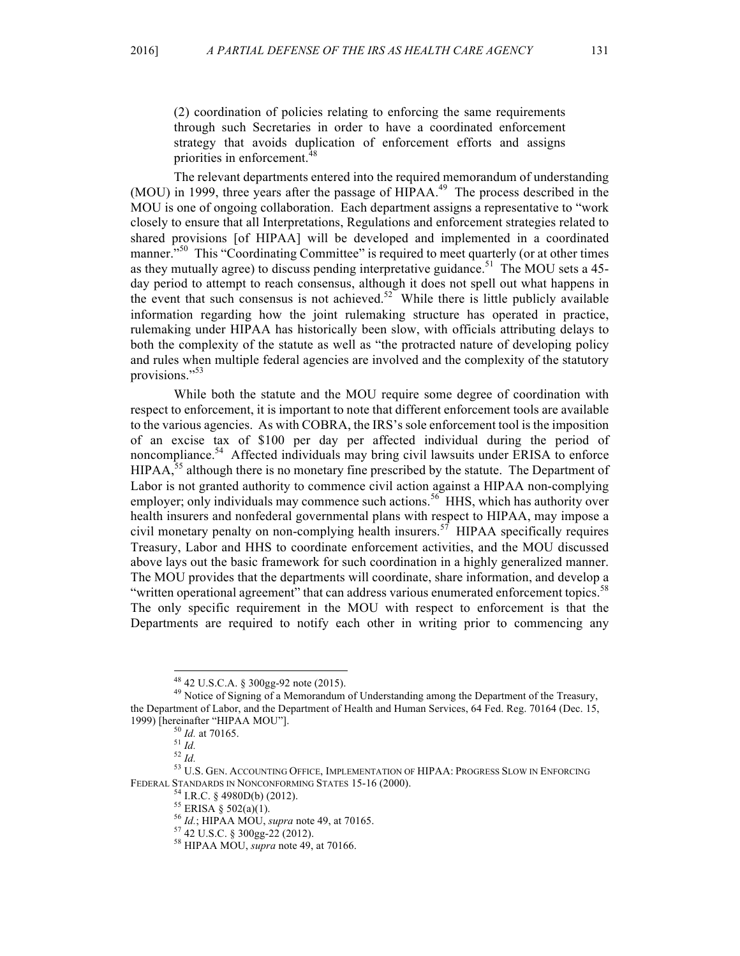(2) coordination of policies relating to enforcing the same requirements through such Secretaries in order to have a coordinated enforcement strategy that avoids duplication of enforcement efforts and assigns priorities in enforcement.<sup>48</sup>

The relevant departments entered into the required memorandum of understanding (MOU) in 1999, three years after the passage of  $HIPAA<sup>49</sup>$ . The process described in the MOU is one of ongoing collaboration. Each department assigns a representative to "work closely to ensure that all Interpretations, Regulations and enforcement strategies related to shared provisions [of HIPAA] will be developed and implemented in a coordinated manner."<sup>50</sup> This "Coordinating Committee" is required to meet quarterly (or at other times as they mutually agree) to discuss pending interpretative guidance.<sup>51</sup> The MOU sets a 45day period to attempt to reach consensus, although it does not spell out what happens in the event that such consensus is not achieved.<sup>52</sup> While there is little publicly available information regarding how the joint rulemaking structure has operated in practice, rulemaking under HIPAA has historically been slow, with officials attributing delays to both the complexity of the statute as well as "the protracted nature of developing policy and rules when multiple federal agencies are involved and the complexity of the statutory provisions."<sup>53</sup>

While both the statute and the MOU require some degree of coordination with respect to enforcement, it is important to note that different enforcement tools are available to the various agencies. As with COBRA, the IRS's sole enforcement tool is the imposition of an excise tax of \$100 per day per affected individual during the period of noncompliance.<sup>54</sup> Affected individuals may bring civil lawsuits under ERISA to enforce  $HIPAA$ ,<sup>55</sup> although there is no monetary fine prescribed by the statute. The Department of Labor is not granted authority to commence civil action against a HIPAA non-complying employer; only individuals may commence such actions.<sup>56</sup> HHS, which has authority over health insurers and nonfederal governmental plans with respect to HIPAA, may impose a civil monetary penalty on non-complying health insurers.<sup>57</sup> HIPAA specifically requires Treasury, Labor and HHS to coordinate enforcement activities, and the MOU discussed above lays out the basic framework for such coordination in a highly generalized manner. The MOU provides that the departments will coordinate, share information, and develop a "written operational agreement" that can address various enumerated enforcement topics.<sup>58</sup> The only specific requirement in the MOU with respect to enforcement is that the Departments are required to notify each other in writing prior to commencing any

<sup>&</sup>lt;sup>48</sup> 42 U.S.C.A. § 300gg-92 note (2015).<br><sup>49</sup> Notice of Signing of a Memorandum of Understanding among the Department of the Treasury, the Department of Labor, and the Department of Health and Human Services, 64 Fed. Reg. 70164 (Dec. 15, 1999) [hereinafter "HIPAA MOU"].<br><sup>50</sup> *Id.* at 70165.<br><sup>51</sup> *Id.* 52 *Id.* 53 U.S. GEN. Accounting Office, IMPLEMENTATION OF HIPAA: PROGRESS SLOW IN ENFORCING

FEDERAL STANDARDS IN NONCONFORMING STATES 15-16 (2000).<br><sup>54</sup> I.R.C. § 4980D(b) (2012).<br><sup>55</sup> ERISA § 502(a)(1).<br><sup>56</sup> Id.; HIPAA MOU, *supra* note 49, at 70165.<br><sup>57</sup> 42 U.S.C. § 300gg-22 (2012).<br><sup>58</sup> HIPAA MOU, *supra* note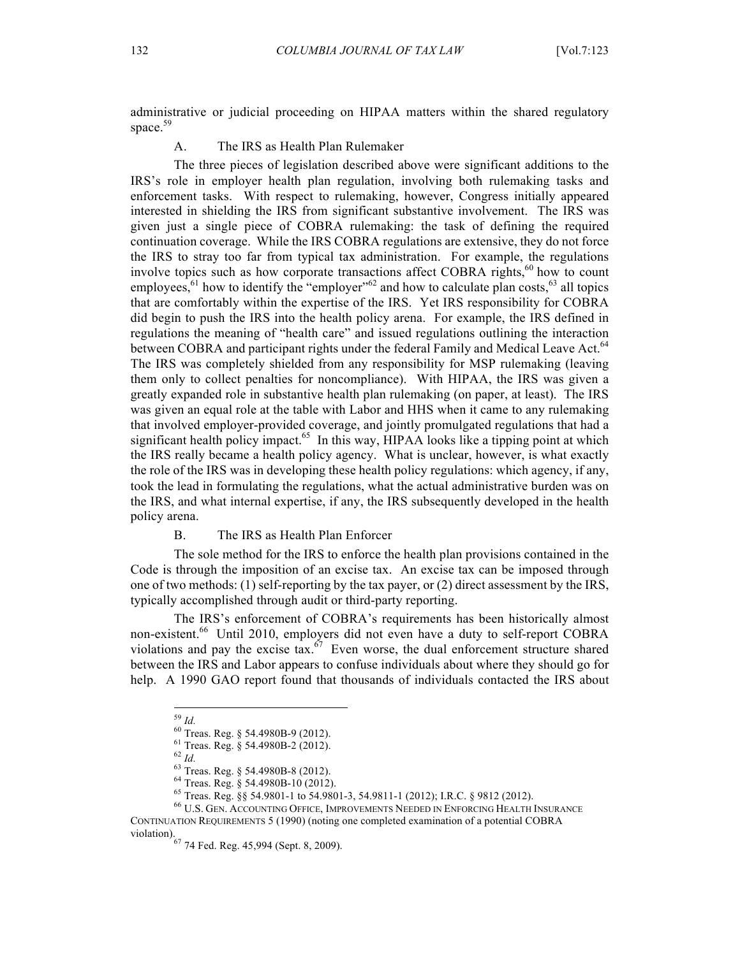administrative or judicial proceeding on HIPAA matters within the shared regulatory space.<sup>59</sup>

A. The IRS as Health Plan Rulemaker

The three pieces of legislation described above were significant additions to the IRS's role in employer health plan regulation, involving both rulemaking tasks and enforcement tasks. With respect to rulemaking, however, Congress initially appeared interested in shielding the IRS from significant substantive involvement. The IRS was given just a single piece of COBRA rulemaking: the task of defining the required continuation coverage. While the IRS COBRA regulations are extensive, they do not force the IRS to stray too far from typical tax administration. For example, the regulations involve topics such as how corporate transactions affect COBRA rights, $60$  how to count employees,  $61$  how to identify the "employer" $62$  and how to calculate plan costs,  $63$  all topics that are comfortably within the expertise of the IRS. Yet IRS responsibility for COBRA did begin to push the IRS into the health policy arena. For example, the IRS defined in regulations the meaning of "health care" and issued regulations outlining the interaction between COBRA and participant rights under the federal Family and Medical Leave Act.<sup>64</sup> The IRS was completely shielded from any responsibility for MSP rulemaking (leaving them only to collect penalties for noncompliance). With HIPAA, the IRS was given a greatly expanded role in substantive health plan rulemaking (on paper, at least). The IRS was given an equal role at the table with Labor and HHS when it came to any rulemaking that involved employer-provided coverage, and jointly promulgated regulations that had a significant health policy impact.<sup>65</sup> In this way, HIPAA looks like a tipping point at which the IRS really became a health policy agency. What is unclear, however, is what exactly the role of the IRS was in developing these health policy regulations: which agency, if any, took the lead in formulating the regulations, what the actual administrative burden was on the IRS, and what internal expertise, if any, the IRS subsequently developed in the health policy arena.

B. The IRS as Health Plan Enforcer

The sole method for the IRS to enforce the health plan provisions contained in the Code is through the imposition of an excise tax. An excise tax can be imposed through one of two methods: (1) self-reporting by the tax payer, or (2) direct assessment by the IRS, typically accomplished through audit or third-party reporting.

The IRS's enforcement of COBRA's requirements has been historically almost non-existent.<sup>66</sup> Until 2010, employers did not even have a duty to self-report COBRA violations and pay the excise tax. $\frac{1}{67}$  Even worse, the dual enforcement structure shared between the IRS and Labor appears to confuse individuals about where they should go for help. A 1990 GAO report found that thousands of individuals contacted the IRS about

<sup>&</sup>lt;sup>59</sup> *Id.*<br>
<sup>60</sup> Treas. Reg. § 54.4980B-9 (2012).<br>
<sup>61</sup> Treas. Reg. § 54.4980B-2 (2012).<br>
<sup>63</sup> Treas. Reg. § 54.4980B-8 (2012).<br>
<sup>64</sup> Treas. Reg. § 54.4980B-10 (2012).<br>
<sup>65</sup> Treas. Reg. §§ 54.9801-1 to 54.9801-3, 54.9811-CONTINUATION REQUIREMENTS 5 (1990) (noting one completed examination of a potential COBRA violation).<br> $^{67}$  74 Fed. Reg. 45,994 (Sept. 8, 2009).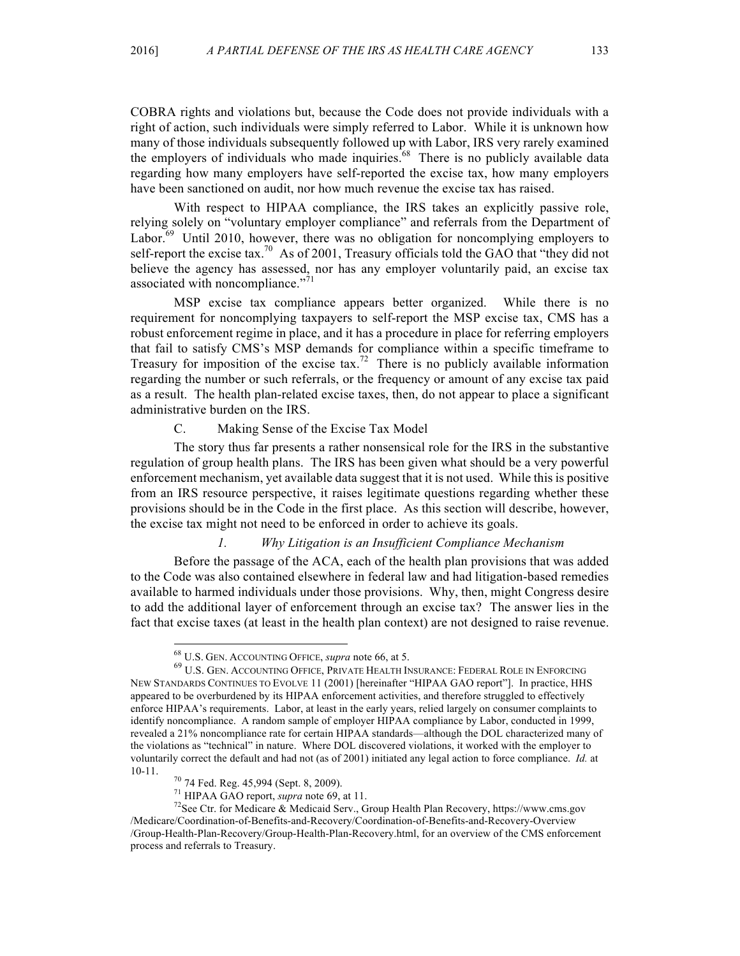COBRA rights and violations but, because the Code does not provide individuals with a right of action, such individuals were simply referred to Labor. While it is unknown how many of those individuals subsequently followed up with Labor, IRS very rarely examined the employers of individuals who made inquiries.<sup>68</sup> There is no publicly available data regarding how many employers have self-reported the excise tax, how many employers have been sanctioned on audit, nor how much revenue the excise tax has raised.

With respect to HIPAA compliance, the IRS takes an explicitly passive role, relying solely on "voluntary employer compliance" and referrals from the Department of Labor.<sup>69</sup> Until 2010, however, there was no obligation for noncomplying employers to self-report the excise tax.<sup>70</sup> As of 2001, Treasury officials told the GAO that "they did not believe the agency has assessed, nor has any employer voluntarily paid, an excise tax associated with noncompliance." $^{71}$ 

MSP excise tax compliance appears better organized. While there is no requirement for noncomplying taxpayers to self-report the MSP excise tax, CMS has a robust enforcement regime in place, and it has a procedure in place for referring employers that fail to satisfy CMS's MSP demands for compliance within a specific timeframe to Treasury for imposition of the excise  $\tan^{-72}$  There is no publicly available information regarding the number or such referrals, or the frequency or amount of any excise tax paid as a result. The health plan-related excise taxes, then, do not appear to place a significant administrative burden on the IRS.

#### C. Making Sense of the Excise Tax Model

The story thus far presents a rather nonsensical role for the IRS in the substantive regulation of group health plans. The IRS has been given what should be a very powerful enforcement mechanism, yet available data suggest that it is not used. While this is positive from an IRS resource perspective, it raises legitimate questions regarding whether these provisions should be in the Code in the first place. As this section will describe, however, the excise tax might not need to be enforced in order to achieve its goals.

#### *1. Why Litigation is an Insufficient Compliance Mechanism*

Before the passage of the ACA, each of the health plan provisions that was added to the Code was also contained elsewhere in federal law and had litigation-based remedies available to harmed individuals under those provisions. Why, then, might Congress desire to add the additional layer of enforcement through an excise tax? The answer lies in the fact that excise taxes (at least in the health plan context) are not designed to raise revenue.

<sup>&</sup>lt;sup>68</sup> U.S. GEN. Accounting Office, *supra* note 66, at 5.<br><sup>69</sup> U.S. Gen. Accounting Office, Private Health Insurance: Federal Role in Enforcing NEW STANDARDS CONTINUES TO EVOLVE 11 (2001) [hereinafter "HIPAA GAO report"]. In practice, HHS appeared to be overburdened by its HIPAA enforcement activities, and therefore struggled to effectively enforce HIPAA's requirements. Labor, at least in the early years, relied largely on consumer complaints to identify noncompliance. A random sample of employer HIPAA compliance by Labor, conducted in 1999, revealed a 21% noncompliance rate for certain HIPAA standards—although the DOL characterized many of the violations as "technical" in nature. Where DOL discovered violations, it worked with the employer to voluntarily correct the default and had not (as of 2001) initiated any legal action to force compliance. *Id.* at

<sup>10-11.&</sup>lt;br><sup>70</sup> 74 Fed. Reg. 45,994 (Sept. 8, 2009).<br><sup>71</sup> HIPAA GAO report, *supra* note 69, at 11.<br><sup>72</sup>See Ctr. for Medicare & Medicaid Serv., Group Health Plan Recovery, https://www.cms.gov /Medicare/Coordination-of-Benefits-and-Recovery/Coordination-of-Benefits-and-Recovery-Overview /Group-Health-Plan-Recovery/Group-Health-Plan-Recovery.html, for an overview of the CMS enforcement process and referrals to Treasury.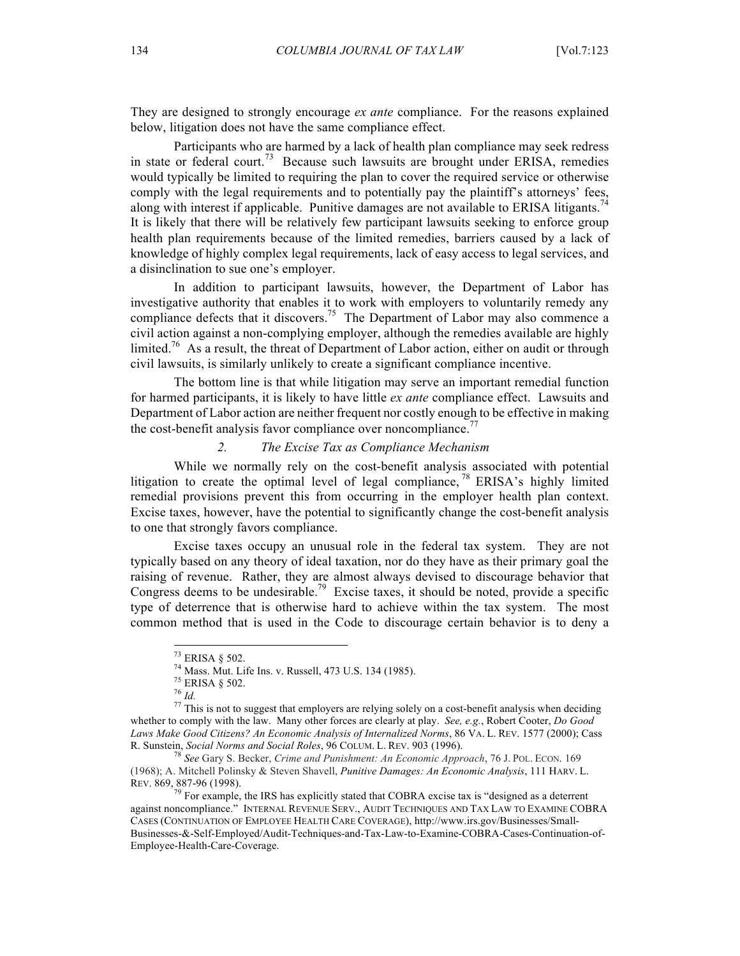They are designed to strongly encourage *ex ante* compliance. For the reasons explained below, litigation does not have the same compliance effect.

Participants who are harmed by a lack of health plan compliance may seek redress in state or federal court.<sup>73</sup> Because such lawsuits are brought under ERISA, remedies would typically be limited to requiring the plan to cover the required service or otherwise comply with the legal requirements and to potentially pay the plaintiff's attorneys' fees, along with interest if applicable. Punitive damages are not available to ERISA litigants.<sup>74</sup> It is likely that there will be relatively few participant lawsuits seeking to enforce group health plan requirements because of the limited remedies, barriers caused by a lack of knowledge of highly complex legal requirements, lack of easy access to legal services, and a disinclination to sue one's employer.

In addition to participant lawsuits, however, the Department of Labor has investigative authority that enables it to work with employers to voluntarily remedy any compliance defects that it discovers.<sup>75</sup> The Department of Labor may also commence a civil action against a non-complying employer, although the remedies available are highly limited.<sup>76</sup> As a result, the threat of Department of Labor action, either on audit or through civil lawsuits, is similarly unlikely to create a significant compliance incentive.

The bottom line is that while litigation may serve an important remedial function for harmed participants, it is likely to have little *ex ante* compliance effect. Lawsuits and Department of Labor action are neither frequent nor costly enough to be effective in making the cost-benefit analysis favor compliance over noncompliance.<sup>77</sup>

## *2. The Excise Tax as Compliance Mechanism*

While we normally rely on the cost-benefit analysis associated with potential litigation to create the optimal level of legal compliance,  $^{78}$  ERISA's highly limited remedial provisions prevent this from occurring in the employer health plan context. Excise taxes, however, have the potential to significantly change the cost-benefit analysis to one that strongly favors compliance.

Excise taxes occupy an unusual role in the federal tax system. They are not typically based on any theory of ideal taxation, nor do they have as their primary goal the raising of revenue. Rather, they are almost always devised to discourage behavior that Congress deems to be undesirable.<sup>79</sup> Excise taxes, it should be noted, provide a specific type of deterrence that is otherwise hard to achieve within the tax system. The most common method that is used in the Code to discourage certain behavior is to deny a

<sup>&</sup>lt;sup>73</sup> ERISA § 502.<br><sup>74</sup> Mass. Mut. Life Ins. v. Russell, 473 U.S. 134 (1985).<br><sup>75</sup> ERISA § 502.<br><sup>76</sup> *Id.*<br><sup>77</sup> This is not to suggest that employers are relying solely on a cost-benefit analysis when deciding whether to comply with the law. Many other forces are clearly at play. *See, e.g.*, Robert Cooter, *Do Good Laws Make Good Citizens? An Economic Analysis of Internalized Norms*, 86 VA. L. REV. 1577 (2000); Cass R. Sunstein, *Social Norms and Social Roles*, 96 COLUM. L. REV. 903 (1996). <sup>78</sup> *See* Gary S. Becker, *Crime and Punishment: An Economic Approach*, 76 J. POL. ECON. <sup>169</sup>

<sup>(1968);</sup> A. Mitchell Polinsky & Steven Shavell, *Punitive Damages: An Economic Analysis*, 111 HARV. L. REV. 869, 887-96 (1998).<br><sup>79</sup> For example, the IRS has explicitly stated that COBRA excise tax is "designed as a deterrent"

against noncompliance." INTERNAL REVENUE SERV., AUDIT TECHNIQUES AND TAX LAW TO EXAMINE COBRA CASES (CONTINUATION OF EMPLOYEE HEALTH CARE COVERAGE), http://www.irs.gov/Businesses/Small-Businesses-&-Self-Employed/Audit-Techniques-and-Tax-Law-to-Examine-COBRA-Cases-Continuation-of-Employee-Health-Care-Coverage.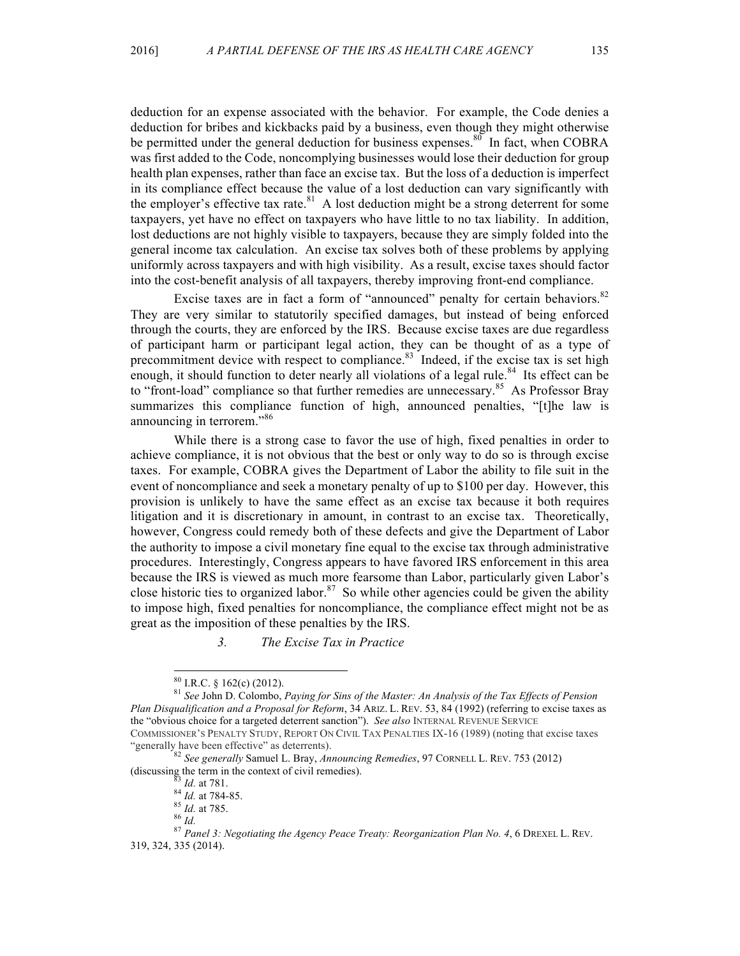deduction for an expense associated with the behavior. For example, the Code denies a deduction for bribes and kickbacks paid by a business, even though they might otherwise be permitted under the general deduction for business expenses.<sup>80</sup> In fact, when COBRA was first added to the Code, noncomplying businesses would lose their deduction for group health plan expenses, rather than face an excise tax. But the loss of a deduction is imperfect in its compliance effect because the value of a lost deduction can vary significantly with the employer's effective tax rate.<sup>81</sup> A lost deduction might be a strong deterrent for some taxpayers, yet have no effect on taxpayers who have little to no tax liability. In addition, lost deductions are not highly visible to taxpayers, because they are simply folded into the general income tax calculation. An excise tax solves both of these problems by applying uniformly across taxpayers and with high visibility. As a result, excise taxes should factor into the cost-benefit analysis of all taxpayers, thereby improving front-end compliance.

Excise taxes are in fact a form of "announced" penalty for certain behaviors.<sup>82</sup> They are very similar to statutorily specified damages, but instead of being enforced through the courts, they are enforced by the IRS. Because excise taxes are due regardless of participant harm or participant legal action, they can be thought of as a type of precommitment device with respect to compliance.<sup>83</sup> Indeed, if the excise tax is set high enough, it should function to deter nearly all violations of a legal rule.<sup>84</sup> Its effect can be to "front-load" compliance so that further remedies are unnecessary.<sup>85</sup> As Professor Bray summarizes this compliance function of high, announced penalties, "[t]he law is announcing in terrorem."<sup>86</sup>

While there is a strong case to favor the use of high, fixed penalties in order to achieve compliance, it is not obvious that the best or only way to do so is through excise taxes. For example, COBRA gives the Department of Labor the ability to file suit in the event of noncompliance and seek a monetary penalty of up to \$100 per day. However, this provision is unlikely to have the same effect as an excise tax because it both requires litigation and it is discretionary in amount, in contrast to an excise tax. Theoretically, however, Congress could remedy both of these defects and give the Department of Labor the authority to impose a civil monetary fine equal to the excise tax through administrative procedures. Interestingly, Congress appears to have favored IRS enforcement in this area because the IRS is viewed as much more fearsome than Labor, particularly given Labor's close historic ties to organized labor.<sup>87</sup> So while other agencies could be given the ability to impose high, fixed penalties for noncompliance, the compliance effect might not be as great as the imposition of these penalties by the IRS.

*3. The Excise Tax in Practice*

<sup>80</sup> I.R.C. § 162(c) (2012). <sup>81</sup> *See* John D. Colombo, *Paying for Sins of the Master: An Analysis of the Tax Effects of Pension Plan Disqualification and a Proposal for Reform*, 34 ARIZ. L. REV. 53, 84 (1992) (referring to excise taxes as the "obvious choice for a targeted deterrent sanction"). *See also* INTERNAL REVENUE SERVICE COMMISSIONER'S PENALTY STUDY, REPORT ON CIVIL TAX PENALTIES IX-16 (1989) (noting that excise taxes

<sup>&</sup>lt;sup>92</sup> *See generally* Samuel L. Bray, *Announcing Remedies*, 97 CORNELL L. REV. 753 (2012)<br>(discussing the term in the context of civil remedies).<br><sup>83</sup> *Id.* at 781.

<sup>&</sup>lt;sup>84</sup> Id. at 784-85.<br><sup>85</sup> Id. at 785.<br><sup>85</sup> Id. at 785.<br><sup>86</sup> Id. at 785.<br><sup>87</sup> Panel 3: Negotiating the Agency Peace Treaty: Reorganization Plan No. 4, 6 DREXEL L. REV. 319, 324, 335 (2014).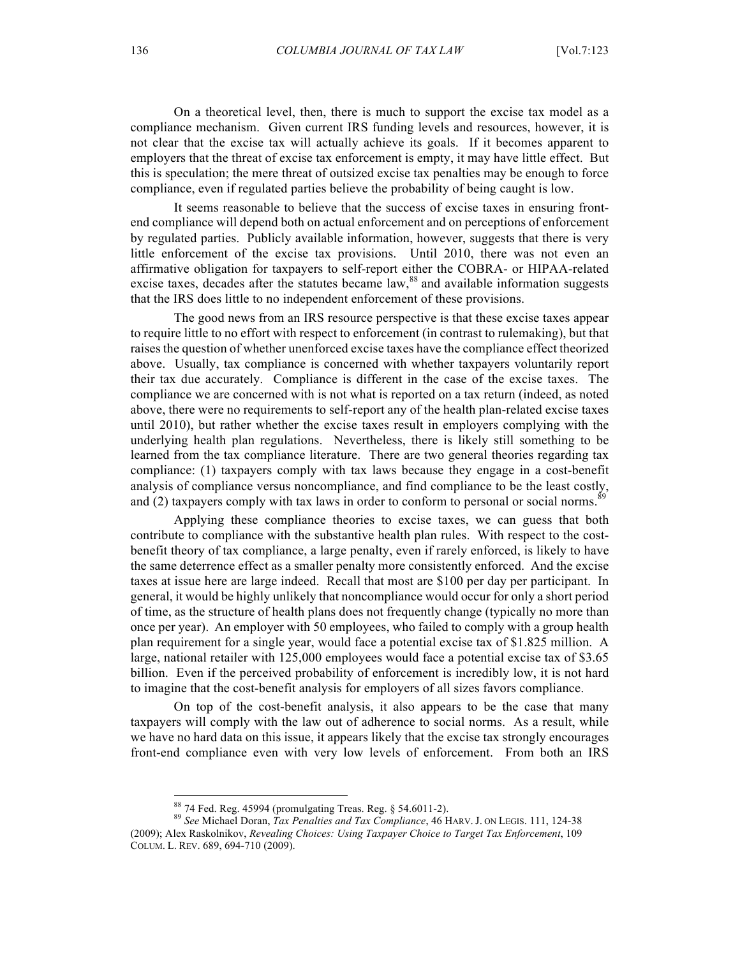On a theoretical level, then, there is much to support the excise tax model as a compliance mechanism. Given current IRS funding levels and resources, however, it is not clear that the excise tax will actually achieve its goals. If it becomes apparent to employers that the threat of excise tax enforcement is empty, it may have little effect. But this is speculation; the mere threat of outsized excise tax penalties may be enough to force compliance, even if regulated parties believe the probability of being caught is low.

It seems reasonable to believe that the success of excise taxes in ensuring frontend compliance will depend both on actual enforcement and on perceptions of enforcement by regulated parties. Publicly available information, however, suggests that there is very little enforcement of the excise tax provisions. Until 2010, there was not even an affirmative obligation for taxpayers to self-report either the COBRA- or HIPAA-related excise taxes, decades after the statutes became law, $88$  and available information suggests that the IRS does little to no independent enforcement of these provisions.

The good news from an IRS resource perspective is that these excise taxes appear to require little to no effort with respect to enforcement (in contrast to rulemaking), but that raises the question of whether unenforced excise taxes have the compliance effect theorized above. Usually, tax compliance is concerned with whether taxpayers voluntarily report their tax due accurately. Compliance is different in the case of the excise taxes. The compliance we are concerned with is not what is reported on a tax return (indeed, as noted above, there were no requirements to self-report any of the health plan-related excise taxes until 2010), but rather whether the excise taxes result in employers complying with the underlying health plan regulations. Nevertheless, there is likely still something to be learned from the tax compliance literature. There are two general theories regarding tax compliance: (1) taxpayers comply with tax laws because they engage in a cost-benefit analysis of compliance versus noncompliance, and find compliance to be the least costly, and (2) taxpayers comply with tax laws in order to conform to personal or social norms.<sup>89</sup>

Applying these compliance theories to excise taxes, we can guess that both contribute to compliance with the substantive health plan rules. With respect to the costbenefit theory of tax compliance, a large penalty, even if rarely enforced, is likely to have the same deterrence effect as a smaller penalty more consistently enforced. And the excise taxes at issue here are large indeed. Recall that most are \$100 per day per participant. In general, it would be highly unlikely that noncompliance would occur for only a short period of time, as the structure of health plans does not frequently change (typically no more than once per year). An employer with 50 employees, who failed to comply with a group health plan requirement for a single year, would face a potential excise tax of \$1.825 million. A large, national retailer with 125,000 employees would face a potential excise tax of \$3.65 billion. Even if the perceived probability of enforcement is incredibly low, it is not hard to imagine that the cost-benefit analysis for employers of all sizes favors compliance.

On top of the cost-benefit analysis, it also appears to be the case that many taxpayers will comply with the law out of adherence to social norms. As a result, while we have no hard data on this issue, it appears likely that the excise tax strongly encourages front-end compliance even with very low levels of enforcement. From both an IRS

<sup>88</sup> 74 Fed. Reg. 45994 (promulgating Treas. Reg. § 54.6011-2). <sup>89</sup> *See* Michael Doran, *Tax Penalties and Tax Compliance*, 46 HARV. J. ON LEGIS. 111, 124-38 (2009); Alex Raskolnikov, *Revealing Choices: Using Taxpayer Choice to Target Tax Enforcement*, 109 COLUM. L. REV. 689, 694-710 (2009).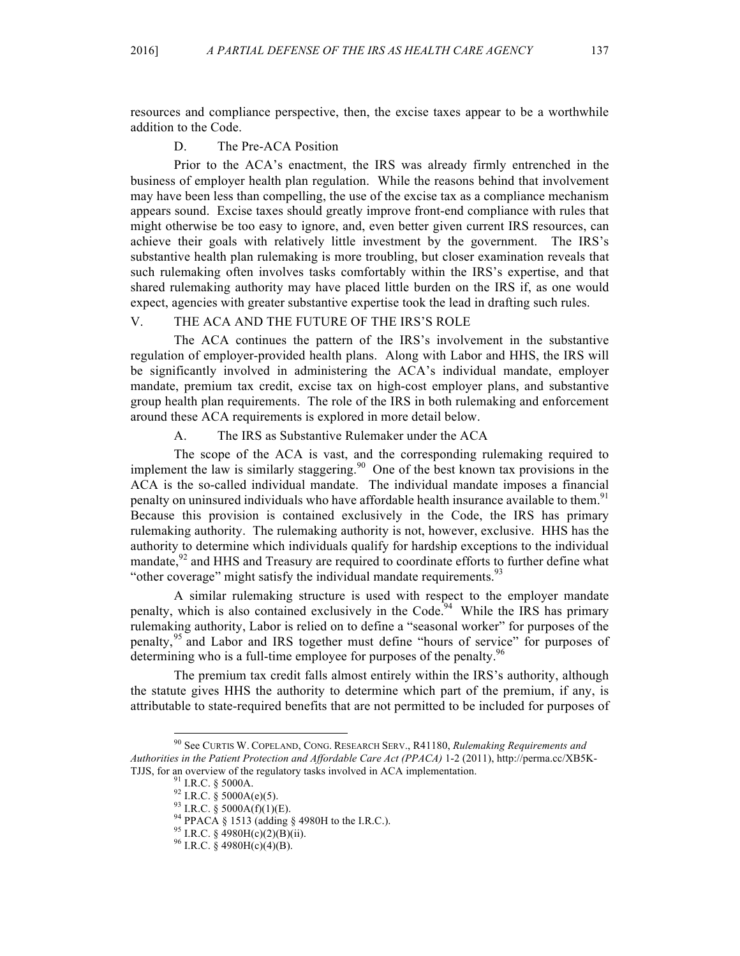resources and compliance perspective, then, the excise taxes appear to be a worthwhile addition to the Code.

## D. The Pre-ACA Position

Prior to the ACA's enactment, the IRS was already firmly entrenched in the business of employer health plan regulation. While the reasons behind that involvement may have been less than compelling, the use of the excise tax as a compliance mechanism appears sound. Excise taxes should greatly improve front-end compliance with rules that might otherwise be too easy to ignore, and, even better given current IRS resources, can achieve their goals with relatively little investment by the government. The IRS's substantive health plan rulemaking is more troubling, but closer examination reveals that such rulemaking often involves tasks comfortably within the IRS's expertise, and that shared rulemaking authority may have placed little burden on the IRS if, as one would expect, agencies with greater substantive expertise took the lead in drafting such rules.

# V. THE ACA AND THE FUTURE OF THE IRS'S ROLE

The ACA continues the pattern of the IRS's involvement in the substantive regulation of employer-provided health plans. Along with Labor and HHS, the IRS will be significantly involved in administering the ACA's individual mandate, employer mandate, premium tax credit, excise tax on high-cost employer plans, and substantive group health plan requirements. The role of the IRS in both rulemaking and enforcement around these ACA requirements is explored in more detail below.

A. The IRS as Substantive Rulemaker under the ACA

The scope of the ACA is vast, and the corresponding rulemaking required to implement the law is similarly staggering.<sup>90</sup> One of the best known tax provisions in the ACA is the so-called individual mandate. The individual mandate imposes a financial penalty on uninsured individuals who have affordable health insurance available to them.<sup>91</sup> Because this provision is contained exclusively in the Code, the IRS has primary rulemaking authority. The rulemaking authority is not, however, exclusive. HHS has the authority to determine which individuals qualify for hardship exceptions to the individual mandate, $92$  and HHS and Treasury are required to coordinate efforts to further define what "other coverage" might satisfy the individual mandate requirements.<sup>93</sup>

A similar rulemaking structure is used with respect to the employer mandate penalty, which is also contained exclusively in the Code.<sup>94</sup> While the IRS has primary rulemaking authority, Labor is relied on to define a "seasonal worker" for purposes of the penalty,<sup>95</sup> and Labor and IRS together must define "hours of service" for purposes of determining who is a full-time employee for purposes of the penalty.<sup>96</sup>

The premium tax credit falls almost entirely within the IRS's authority, although the statute gives HHS the authority to determine which part of the premium, if any, is attributable to state-required benefits that are not permitted to be included for purposes of

 <sup>90</sup> See CURTIS W. COPELAND, CONG. RESEARCH SERV., R41180, *Rulemaking Requirements and Authorities in the Patient Protection and Affordable Care Act (PPACA)* 1-2 (2011), http://perma.cc/XB5K-TJJS, for an overview of the regulatory tasks involved in ACA implementation.<br><sup>91</sup> I.R.C. § 5000A.<br><sup>92</sup> I.R.C. § 5000A(e)(5).<br><sup>93</sup> I.R.C. § 5000A(f)(1)(E).<br><sup>93</sup> I.R.C. § 4980H(c)(2)(B)(ii).<br><sup>95</sup> I.R.C. § 4980H(c)(2)(B)(ii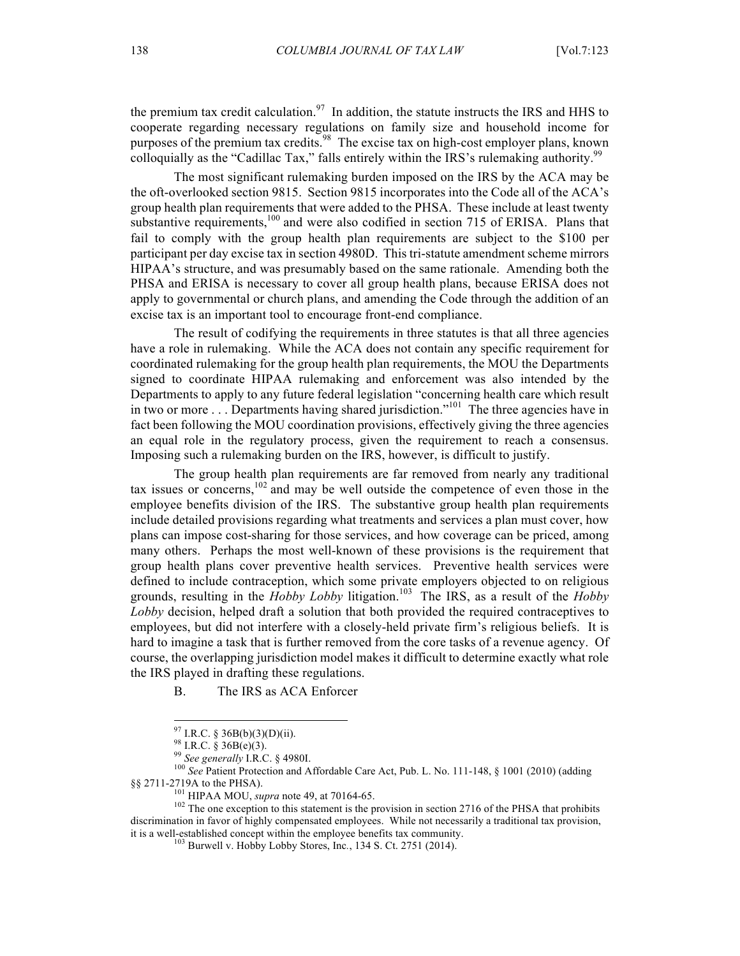the premium tax credit calculation.<sup>97</sup> In addition, the statute instructs the IRS and HHS to cooperate regarding necessary regulations on family size and household income for purposes of the premium tax credits.<sup>98</sup> The excise tax on high-cost employer plans, known colloquially as the "Cadillac Tax," falls entirely within the IRS's rulemaking authority.<sup>99</sup>

The most significant rulemaking burden imposed on the IRS by the ACA may be the oft-overlooked section 9815. Section 9815 incorporates into the Code all of the ACA's group health plan requirements that were added to the PHSA. These include at least twenty substantive requirements, $100$  and were also codified in section 715 of ERISA. Plans that fail to comply with the group health plan requirements are subject to the \$100 per participant per day excise tax in section 4980D. This tri-statute amendment scheme mirrors HIPAA's structure, and was presumably based on the same rationale. Amending both the PHSA and ERISA is necessary to cover all group health plans, because ERISA does not apply to governmental or church plans, and amending the Code through the addition of an excise tax is an important tool to encourage front-end compliance.

The result of codifying the requirements in three statutes is that all three agencies have a role in rulemaking. While the ACA does not contain any specific requirement for coordinated rulemaking for the group health plan requirements, the MOU the Departments signed to coordinate HIPAA rulemaking and enforcement was also intended by the Departments to apply to any future federal legislation "concerning health care which result in two or more . . . Departments having shared jurisdiction."<sup>101</sup> The three agencies have in fact been following the MOU coordination provisions, effectively giving the three agencies an equal role in the regulatory process, given the requirement to reach a consensus. Imposing such a rulemaking burden on the IRS, however, is difficult to justify.

The group health plan requirements are far removed from nearly any traditional tax issues or concerns,  $102$  and may be well outside the competence of even those in the employee benefits division of the IRS. The substantive group health plan requirements include detailed provisions regarding what treatments and services a plan must cover, how plans can impose cost-sharing for those services, and how coverage can be priced, among many others. Perhaps the most well-known of these provisions is the requirement that group health plans cover preventive health services. Preventive health services were defined to include contraception, which some private employers objected to on religious grounds, resulting in the  $Hobby Lobby$  litigation.<sup>103</sup> The IRS, as a result of the  $Hobby$ *Lobby* decision, helped draft a solution that both provided the required contraceptives to employees, but did not interfere with a closely-held private firm's religious beliefs. It is hard to imagine a task that is further removed from the core tasks of a revenue agency. Of course, the overlapping jurisdiction model makes it difficult to determine exactly what role the IRS played in drafting these regulations.

B. The IRS as ACA Enforcer

<sup>&</sup>lt;sup>97</sup> I.R.C. § 36B(b)(3)(D)(ii).<br><sup>98</sup> I.R.C. § 36B(e)(3).<br><sup>99</sup> *See generally* I.R.C. § 4980I.<br><sup>100</sup> *See* Patient Protection and Affordable Care Act, Pub. L. No. 111-148, § 1001 (2010) (adding §§ 2711-2719A to the PHSA).<br>
HIPAA MOU, *supra* note 49, at 70164-65.

<sup>&</sup>lt;sup>102</sup> The one exception to this statement is the provision in section 2716 of the PHSA that prohibits discrimination in favor of highly compensated employees. While not necessarily a traditional tax provision, it is a well-established concept within the employee benefits tax community.

<sup>103</sup> Burwell v. Hobby Lobby Stores, Inc*.*, 134 S. Ct. 2751 (2014).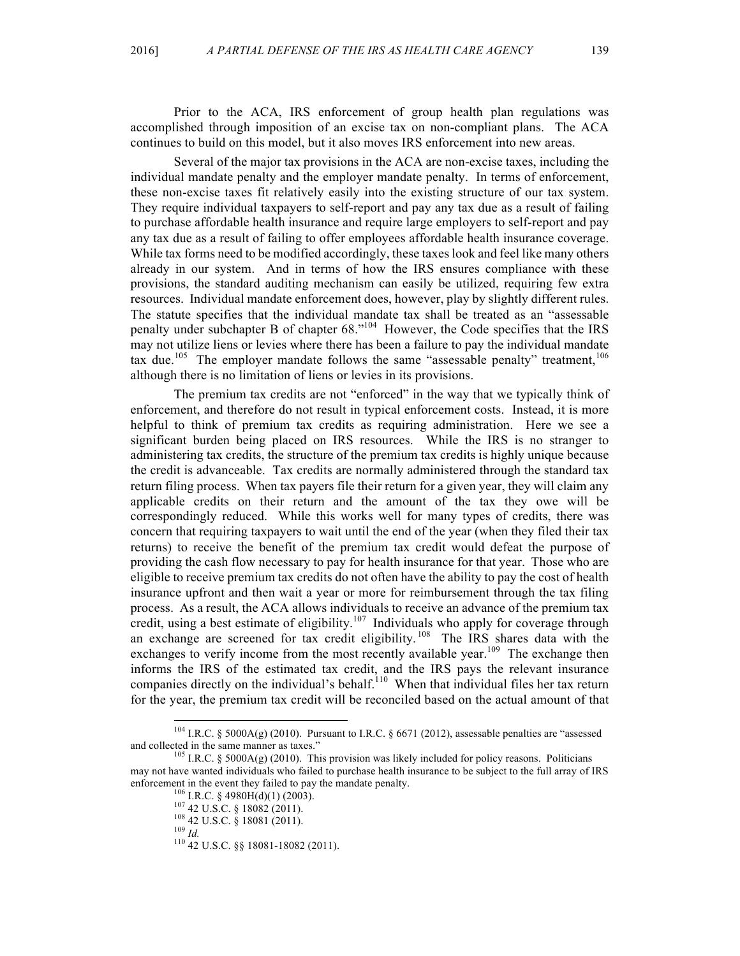Prior to the ACA, IRS enforcement of group health plan regulations was accomplished through imposition of an excise tax on non-compliant plans. The ACA continues to build on this model, but it also moves IRS enforcement into new areas.

Several of the major tax provisions in the ACA are non-excise taxes, including the individual mandate penalty and the employer mandate penalty. In terms of enforcement, these non-excise taxes fit relatively easily into the existing structure of our tax system. They require individual taxpayers to self-report and pay any tax due as a result of failing to purchase affordable health insurance and require large employers to self-report and pay any tax due as a result of failing to offer employees affordable health insurance coverage. While tax forms need to be modified accordingly, these taxes look and feel like many others already in our system. And in terms of how the IRS ensures compliance with these provisions, the standard auditing mechanism can easily be utilized, requiring few extra resources. Individual mandate enforcement does, however, play by slightly different rules. The statute specifies that the individual mandate tax shall be treated as an "assessable penalty under subchapter B of chapter 68."<sup>104</sup> However, the Code specifies that the IRS may not utilize liens or levies where there has been a failure to pay the individual mandate tax due.<sup>105</sup> The employer mandate follows the same "assessable penalty" treatment,  $106$ although there is no limitation of liens or levies in its provisions.

The premium tax credits are not "enforced" in the way that we typically think of enforcement, and therefore do not result in typical enforcement costs. Instead, it is more helpful to think of premium tax credits as requiring administration. Here we see a significant burden being placed on IRS resources. While the IRS is no stranger to administering tax credits, the structure of the premium tax credits is highly unique because the credit is advanceable. Tax credits are normally administered through the standard tax return filing process. When tax payers file their return for a given year, they will claim any applicable credits on their return and the amount of the tax they owe will be correspondingly reduced. While this works well for many types of credits, there was concern that requiring taxpayers to wait until the end of the year (when they filed their tax returns) to receive the benefit of the premium tax credit would defeat the purpose of providing the cash flow necessary to pay for health insurance for that year. Those who are eligible to receive premium tax credits do not often have the ability to pay the cost of health insurance upfront and then wait a year or more for reimbursement through the tax filing process. As a result, the ACA allows individuals to receive an advance of the premium tax credit, using a best estimate of eligibility.<sup>107</sup> Individuals who apply for coverage through an exchange are screened for tax credit eligibility.<sup>108</sup> The IRS shares data with the exchanges to verify income from the most recently available year.<sup>109</sup> The exchange then informs the IRS of the estimated tax credit, and the IRS pays the relevant insurance companies directly on the individual's behalf.<sup>110</sup> When that individual files her tax return for the year, the premium tax credit will be reconciled based on the actual amount of that

<sup>&</sup>lt;sup>104</sup> I.R.C. § 5000A(g) (2010). Pursuant to I.R.C. § 6671 (2012), assessable penalties are "assessed and collected in the same manner as taxes."  $^{105}$  I.R.C. § 5000A(g) (2010). This provision was likely included for policy reasons. Politicians

may not have wanted individuals who failed to purchase health insurance to be subject to the full array of IRS enforcement in the event they failed to pay the mandate penalty.<br><sup>106</sup> I.R.C. § 4980H(d)(1) (2003).<br><sup>107</sup> 42 U.S.C. § 18082 (2011).<br><sup>108</sup> 42 U.S.C. § 18081 (2011).<br><sup>109</sup> *Id.* <sup>110</sup> 42 U.S.C. §§ 18081-18082 (2011).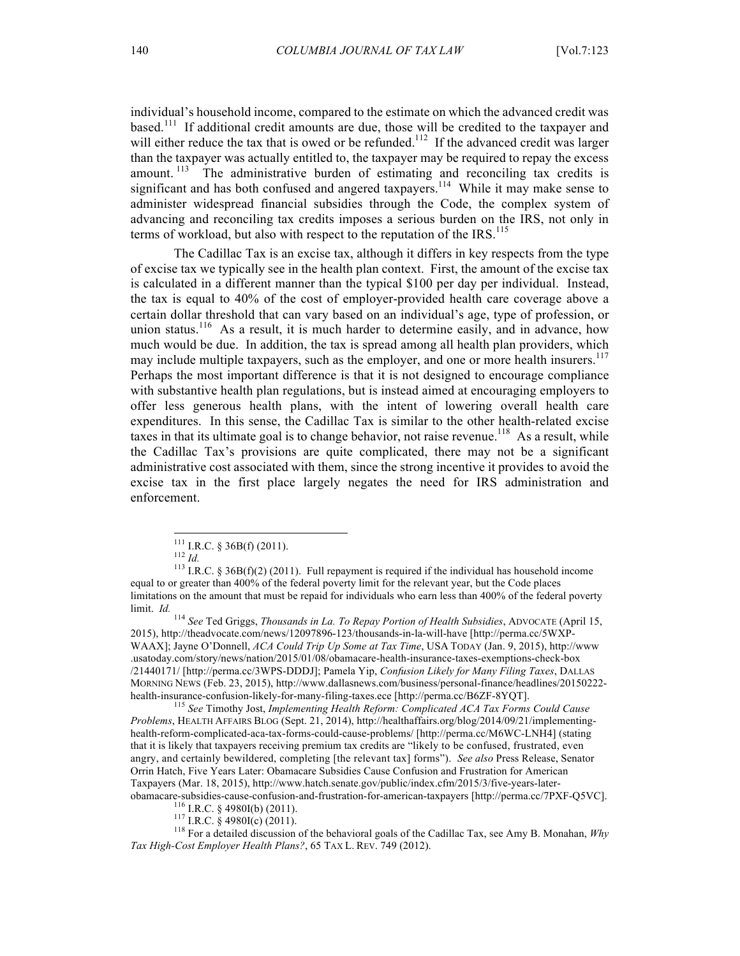individual's household income, compared to the estimate on which the advanced credit was based.<sup>111</sup> If additional credit amounts are due, those will be credited to the taxpayer and will either reduce the tax that is owed or be refunded.<sup>112</sup> If the advanced credit was larger than the taxpayer was actually entitled to, the taxpayer may be required to repay the excess amount.<sup>113</sup> The administrative burden of estimating and reconciling tax credits is significant and has both confused and angered taxpayers.<sup>114</sup> While it may make sense to administer widespread financial subsidies through the Code, the complex system of advancing and reconciling tax credits imposes a serious burden on the IRS, not only in terms of workload, but also with respect to the reputation of the IRS.<sup>115</sup>

The Cadillac Tax is an excise tax, although it differs in key respects from the type of excise tax we typically see in the health plan context. First, the amount of the excise tax is calculated in a different manner than the typical \$100 per day per individual. Instead, the tax is equal to 40% of the cost of employer-provided health care coverage above a certain dollar threshold that can vary based on an individual's age, type of profession, or union status.<sup>116</sup> As a result, it is much harder to determine easily, and in advance, how much would be due. In addition, the tax is spread among all health plan providers, which may include multiple taxpayers, such as the employer, and one or more health insurers.<sup>117</sup> Perhaps the most important difference is that it is not designed to encourage compliance with substantive health plan regulations, but is instead aimed at encouraging employers to offer less generous health plans, with the intent of lowering overall health care expenditures. In this sense, the Cadillac Tax is similar to the other health-related excise taxes in that its ultimate goal is to change behavior, not raise revenue.<sup>118</sup> As a result, while the Cadillac Tax's provisions are quite complicated, there may not be a significant administrative cost associated with them, since the strong incentive it provides to avoid the excise tax in the first place largely negates the need for IRS administration and enforcement.

<sup>114</sup> *See* Ted Griggs, *Thousands in La. To Repay Portion of Health Subsidies*, ADVOCATE (April 15, 2015), http://theadvocate.com/news/12097896-123/thousands-in-la-will-have [http://perma.cc/5WXP-WAAX]; Jayne O'Donnell, *ACA Could Trip Up Some at Tax Time*, USA TODAY (Jan. 9, 2015), http://www .usatoday.com/story/news/nation/2015/01/08/obamacare-health-insurance-taxes-exemptions-check-box /21440171/ [http://perma.cc/3WPS-DDDJ]; Pamela Yip, *Confusion Likely for Many Filing Taxes*, DALLAS MORNING NEWS (Feb. 23, 2015), http://www.dallasnews.com/business/personal-finance/headlines/20150222-health-insurance-confusion-likely-for-many-filing-taxes.ece [http://perma.cc/B6ZF-8YQT].

<sup>115</sup> See Timothy Jost, *Implementing Health Reform: Complicated ACA Tax Forms Could Cause Problems*, HEALTH AFFAIRS BLOG (Sept. 21, 2014), http://healthaffairs.org/blog/2014/09/21/implementinghealth-reform-complicated-aca-tax-forms-could-cause-problems/ [http://perma.cc/M6WC-LNH4] (stating that it is likely that taxpayers receiving premium tax credits are "likely to be confused, frustrated, even angry, and certainly bewildered, completing [the relevant tax] forms"). *See also* Press Release, Senator Orrin Hatch, Five Years Later: Obamacare Subsidies Cause Confusion and Frustration for American Taxpayers (Mar. 18, 2015), http://www.hatch.senate.gov/public/index.cfm/2015/3/five-years-later-

obamacare-subsidies-cause-confusion-and-frustration-for-american-taxpayers [http://perma.cc/7PXF-Q5VC].<br><sup>116</sup> I.R.C. § 4980I(b) (2011).<br><sup>117</sup> I.R.C. § 4980I(c) (2011).<br><sup>117</sup> I.R.C. § 4980I(c) (2011).<br><sup>118</sup> For a detailed *Tax High-Cost Employer Health Plans?*, 65 TAX L. REV. 749 (2012).

<sup>&</sup>lt;sup>111</sup> I.R.C. § 36B(f) (2011).<br><sup>112</sup> *Id.* 113 I.R.C. § 36B(f)(2) (2011). Full repayment is required if the individual has household income equal to or greater than 400% of the federal poverty limit for the relevant year, but the Code places limitations on the amount that must be repaid for individuals who earn less than 400% of the federal poverty limit. *Id.*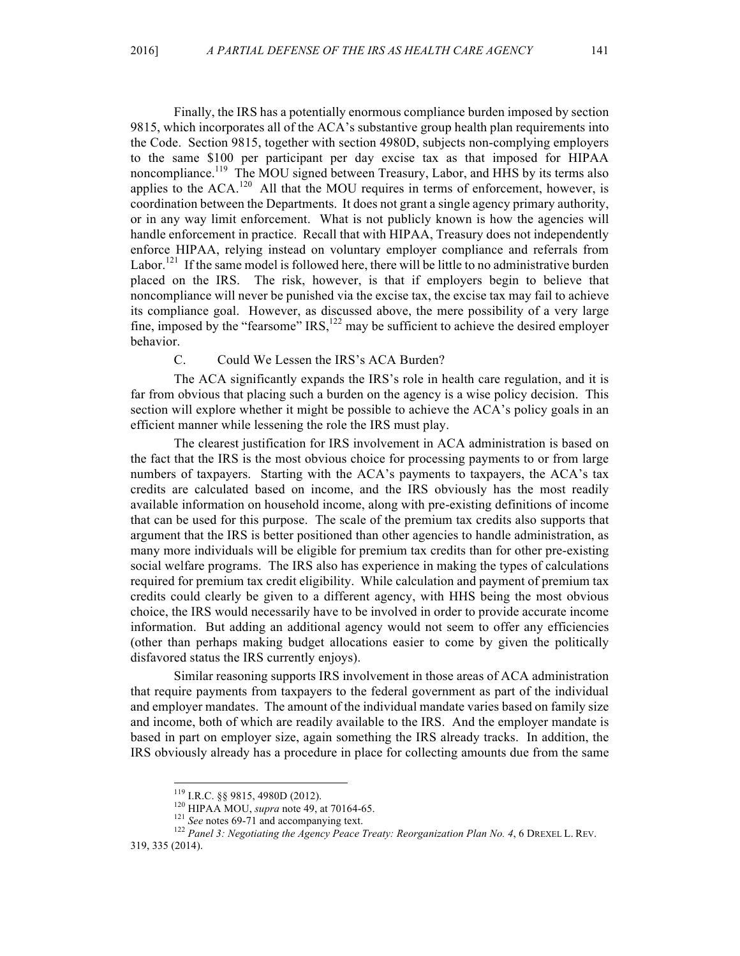Finally, the IRS has a potentially enormous compliance burden imposed by section 9815, which incorporates all of the ACA's substantive group health plan requirements into the Code. Section 9815, together with section 4980D, subjects non-complying employers to the same \$100 per participant per day excise tax as that imposed for HIPAA noncompliance.<sup>119</sup> The MOU signed between Treasury, Labor, and HHS by its terms also applies to the ACA.<sup>120</sup> All that the MOU requires in terms of enforcement, however, is coordination between the Departments. It does not grant a single agency primary authority, or in any way limit enforcement. What is not publicly known is how the agencies will handle enforcement in practice. Recall that with HIPAA, Treasury does not independently enforce HIPAA, relying instead on voluntary employer compliance and referrals from Labor.<sup>121</sup> If the same model is followed here, there will be little to no administrative burden placed on the IRS. The risk, however, is that if employers begin to believe that noncompliance will never be punished via the excise tax, the excise tax may fail to achieve its compliance goal. However, as discussed above, the mere possibility of a very large fine, imposed by the "fearsome"  $IRS<sub>1</sub><sup>122</sup>$  may be sufficient to achieve the desired employer behavior.

#### C. Could We Lessen the IRS's ACA Burden?

The ACA significantly expands the IRS's role in health care regulation, and it is far from obvious that placing such a burden on the agency is a wise policy decision. This section will explore whether it might be possible to achieve the ACA's policy goals in an efficient manner while lessening the role the IRS must play.

The clearest justification for IRS involvement in ACA administration is based on the fact that the IRS is the most obvious choice for processing payments to or from large numbers of taxpayers. Starting with the ACA's payments to taxpayers, the ACA's tax credits are calculated based on income, and the IRS obviously has the most readily available information on household income, along with pre-existing definitions of income that can be used for this purpose. The scale of the premium tax credits also supports that argument that the IRS is better positioned than other agencies to handle administration, as many more individuals will be eligible for premium tax credits than for other pre-existing social welfare programs. The IRS also has experience in making the types of calculations required for premium tax credit eligibility. While calculation and payment of premium tax credits could clearly be given to a different agency, with HHS being the most obvious choice, the IRS would necessarily have to be involved in order to provide accurate income information. But adding an additional agency would not seem to offer any efficiencies (other than perhaps making budget allocations easier to come by given the politically disfavored status the IRS currently enjoys).

Similar reasoning supports IRS involvement in those areas of ACA administration that require payments from taxpayers to the federal government as part of the individual and employer mandates. The amount of the individual mandate varies based on family size and income, both of which are readily available to the IRS. And the employer mandate is based in part on employer size, again something the IRS already tracks. In addition, the IRS obviously already has a procedure in place for collecting amounts due from the same

<sup>&</sup>lt;sup>119</sup> I.R.C. §§ 9815, 4980D (2012).<br><sup>120</sup> HIPAA MOU, *supra* note 49, at 70164-65.<br><sup>121</sup> *See* notes 69-71 and accompanying text.<br><sup>122</sup> *Panel 3: Negotiating the Agency Peace Treaty: Reorganization Plan No. 4, 6 DREXEL L.* 319, 335 (2014).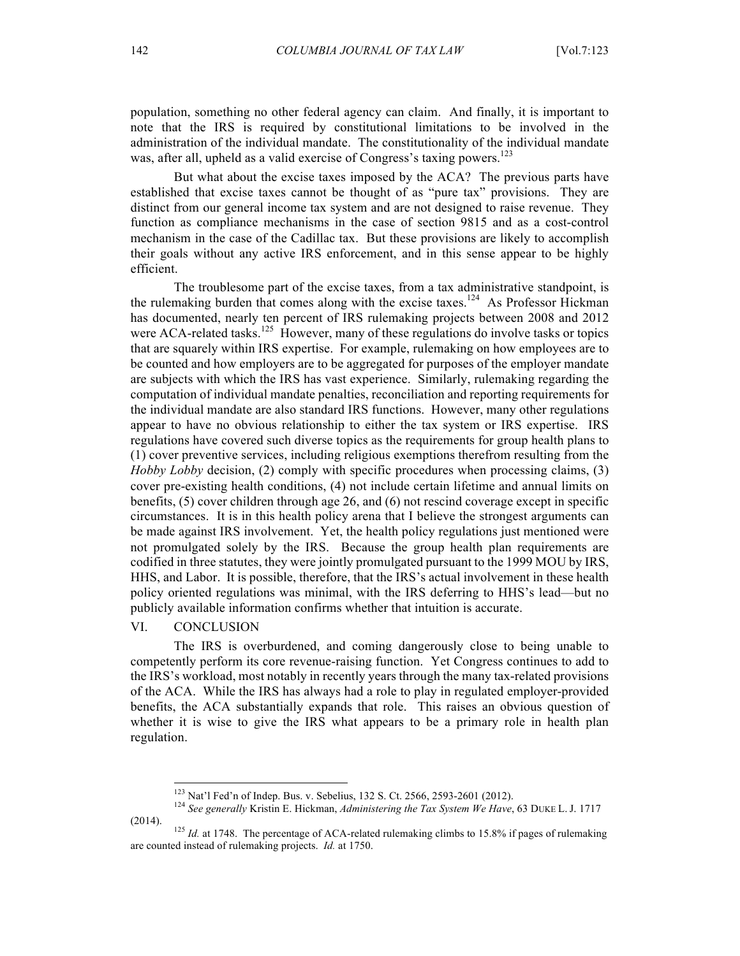population, something no other federal agency can claim. And finally, it is important to note that the IRS is required by constitutional limitations to be involved in the administration of the individual mandate. The constitutionality of the individual mandate was, after all, upheld as a valid exercise of Congress's taxing powers.<sup>123</sup>

But what about the excise taxes imposed by the ACA? The previous parts have established that excise taxes cannot be thought of as "pure tax" provisions. They are distinct from our general income tax system and are not designed to raise revenue. They function as compliance mechanisms in the case of section 9815 and as a cost-control mechanism in the case of the Cadillac tax. But these provisions are likely to accomplish their goals without any active IRS enforcement, and in this sense appear to be highly efficient.

The troublesome part of the excise taxes, from a tax administrative standpoint, is the rulemaking burden that comes along with the excise taxes.<sup>124</sup> As Professor Hickman has documented, nearly ten percent of IRS rulemaking projects between 2008 and 2012 were ACA-related tasks.<sup>125</sup> However, many of these regulations do involve tasks or topics that are squarely within IRS expertise. For example, rulemaking on how employees are to be counted and how employers are to be aggregated for purposes of the employer mandate are subjects with which the IRS has vast experience. Similarly, rulemaking regarding the computation of individual mandate penalties, reconciliation and reporting requirements for the individual mandate are also standard IRS functions. However, many other regulations appear to have no obvious relationship to either the tax system or IRS expertise. IRS regulations have covered such diverse topics as the requirements for group health plans to (1) cover preventive services, including religious exemptions therefrom resulting from the *Hobby Lobby* decision, (2) comply with specific procedures when processing claims, (3) cover pre-existing health conditions, (4) not include certain lifetime and annual limits on benefits, (5) cover children through age 26, and (6) not rescind coverage except in specific circumstances. It is in this health policy arena that I believe the strongest arguments can be made against IRS involvement. Yet, the health policy regulations just mentioned were not promulgated solely by the IRS. Because the group health plan requirements are codified in three statutes, they were jointly promulgated pursuant to the 1999 MOU by IRS, HHS, and Labor. It is possible, therefore, that the IRS's actual involvement in these health policy oriented regulations was minimal, with the IRS deferring to HHS's lead—but no publicly available information confirms whether that intuition is accurate.

#### VI. CONCLUSION

The IRS is overburdened, and coming dangerously close to being unable to competently perform its core revenue-raising function. Yet Congress continues to add to the IRS's workload, most notably in recently years through the many tax-related provisions of the ACA. While the IRS has always had a role to play in regulated employer-provided benefits, the ACA substantially expands that role. This raises an obvious question of whether it is wise to give the IRS what appears to be a primary role in health plan regulation.

<sup>&</sup>lt;sup>123</sup> Nat'l Fed'n of Indep. Bus. v. Sebelius, 132 S. Ct. 2566, 2593-2601 (2012).<br><sup>124</sup> *See generally Kristin E. Hickman, Administering the Tax System We Have*, 63 DUKE L. J. 1717 (2014). <sup>125</sup> *Id.* at 1748. The percentage of ACA-related rulemaking climbs to 15.8% if pages of rulemaking

are counted instead of rulemaking projects. *Id.* at 1750.